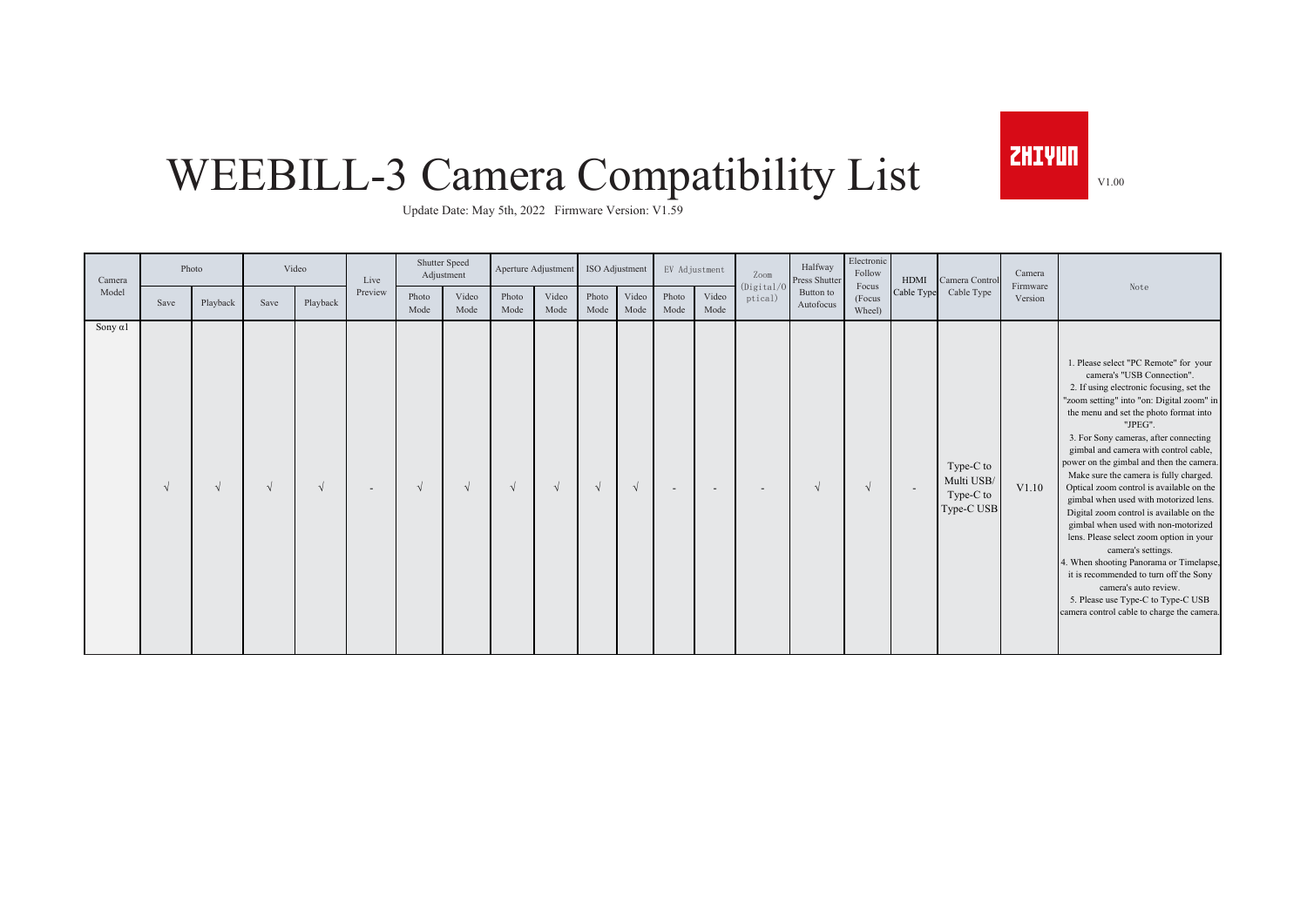**ZHIYUN** V1.00

## WEEBILL-3 Camera Compatibility List

Update Date: May 5th, 2022 Firmware Version: V1.59

| Camera          | Photo |          |            | Video      | Live    |               | Shutter Speed<br>Adjustment |               | Aperture Adjustment | ISO Adjustment |               |                | EV Adjustment | Zoom                     | Halfway<br>Press Shutter | Electronic<br>Follow      | HDMI                     | Camera Control                                     | Camera              |                                                                                                                                                                                                                                                                                                                                                                                                                                                                                                                                                                                                                                                                                                                                                                                                                                      |
|-----------------|-------|----------|------------|------------|---------|---------------|-----------------------------|---------------|---------------------|----------------|---------------|----------------|---------------|--------------------------|--------------------------|---------------------------|--------------------------|----------------------------------------------------|---------------------|--------------------------------------------------------------------------------------------------------------------------------------------------------------------------------------------------------------------------------------------------------------------------------------------------------------------------------------------------------------------------------------------------------------------------------------------------------------------------------------------------------------------------------------------------------------------------------------------------------------------------------------------------------------------------------------------------------------------------------------------------------------------------------------------------------------------------------------|
| Model           | Save  | Playback | Save       | Playback   | Preview | Photo<br>Mode | Video<br>Mode               | Photo<br>Mode | Video<br>Mode       | Photo<br>Mode  | Video<br>Mode | Photo<br>Mode  | Video<br>Mode | (Digital/C)<br>ptical)   | Button to<br>Autofocus   | Focus<br>(Focus<br>Wheel) | Cable Type               | Cable Type                                         | Firmware<br>Version | Note                                                                                                                                                                                                                                                                                                                                                                                                                                                                                                                                                                                                                                                                                                                                                                                                                                 |
| Sony $\alpha$ 1 |       |          | $\sqrt{ }$ | $\sqrt{ }$ |         | $\sqrt{ }$    | $\sqrt{ }$                  | $\sqrt{ }$    |                     |                | $\sqrt{ }$    | $\overline{a}$ | $\sim$        | $\overline{\phantom{a}}$ |                          | $\sqrt{ }$                | $\overline{\phantom{a}}$ | Type-C to<br>Multi USB/<br>Type-C to<br>Type-C USB | V1.10               | 1. Please select "PC Remote" for your<br>camera's "USB Connection".<br>2. If using electronic focusing, set the<br>"zoom setting" into "on: Digital zoom" in<br>the menu and set the photo format into<br>"JPEG".<br>3. For Sony cameras, after connecting<br>gimbal and camera with control cable,<br>power on the gimbal and then the camera.<br>Make sure the camera is fully charged.<br>Optical zoom control is available on the<br>gimbal when used with motorized lens.<br>Digital zoom control is available on the<br>gimbal when used with non-motorized<br>lens. Please select zoom option in your<br>camera's settings.<br>4. When shooting Panorama or Timelapse,<br>it is recommended to turn off the Sony<br>camera's auto review.<br>5. Please use Type-C to Type-C USB<br>camera control cable to charge the camera. |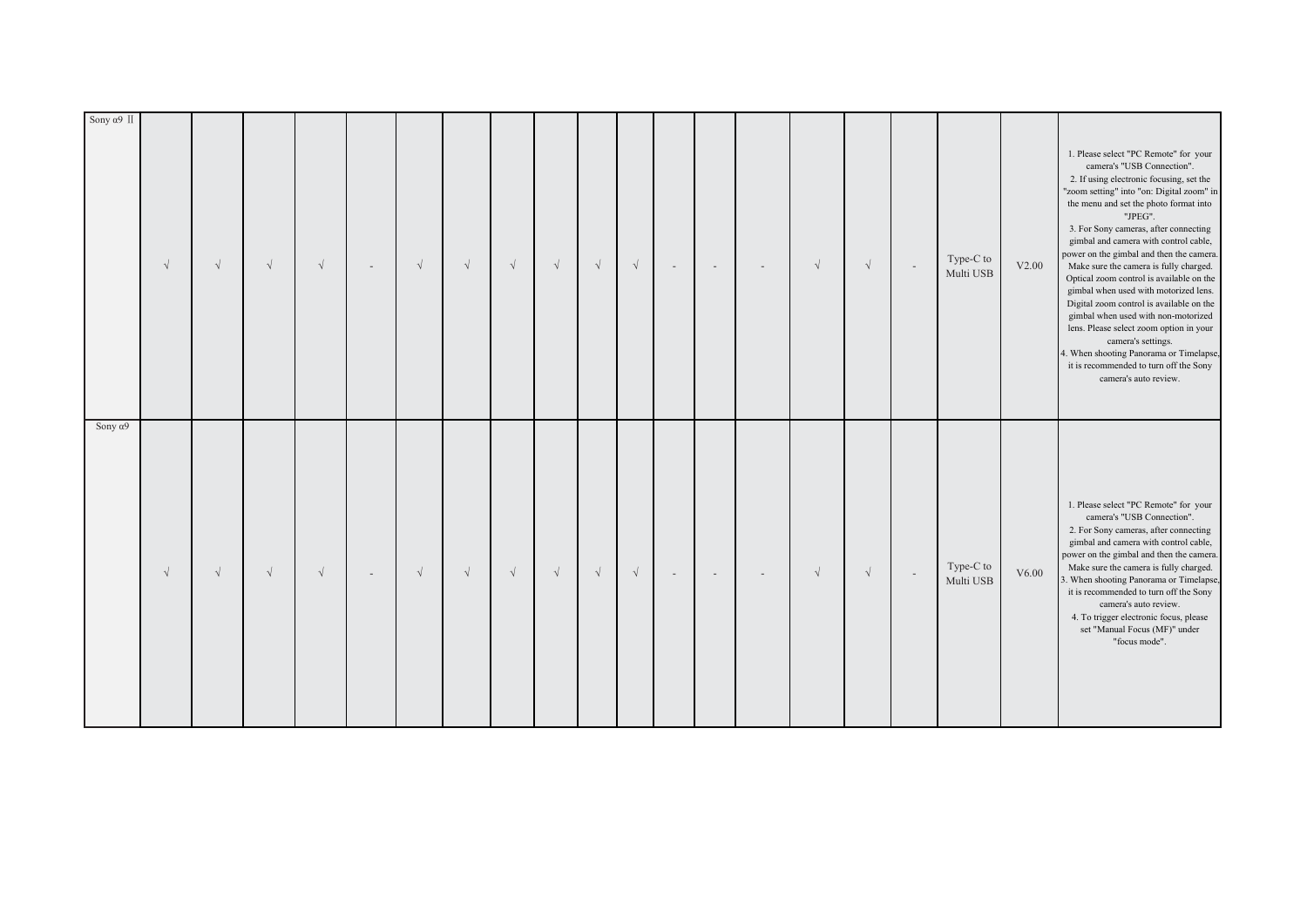| Sony $\alpha$ 9                                                                                                                                                                                                                                                                                                                                                                                                                                       | Sony $\alpha$ 9 II                                                                                                                                                                                                                                                                                                                                                                                                                                                                                                                                                                                                                                                                                                                               |
|-------------------------------------------------------------------------------------------------------------------------------------------------------------------------------------------------------------------------------------------------------------------------------------------------------------------------------------------------------------------------------------------------------------------------------------------------------|--------------------------------------------------------------------------------------------------------------------------------------------------------------------------------------------------------------------------------------------------------------------------------------------------------------------------------------------------------------------------------------------------------------------------------------------------------------------------------------------------------------------------------------------------------------------------------------------------------------------------------------------------------------------------------------------------------------------------------------------------|
| $\sqrt{ }$                                                                                                                                                                                                                                                                                                                                                                                                                                            | $\sqrt{ }$                                                                                                                                                                                                                                                                                                                                                                                                                                                                                                                                                                                                                                                                                                                                       |
| $\sqrt{}$                                                                                                                                                                                                                                                                                                                                                                                                                                             | $\sqrt{ }$                                                                                                                                                                                                                                                                                                                                                                                                                                                                                                                                                                                                                                                                                                                                       |
| $\sqrt{}$                                                                                                                                                                                                                                                                                                                                                                                                                                             | $\sqrt{ }$                                                                                                                                                                                                                                                                                                                                                                                                                                                                                                                                                                                                                                                                                                                                       |
| $\sqrt{ }$                                                                                                                                                                                                                                                                                                                                                                                                                                            | $\sqrt{ }$                                                                                                                                                                                                                                                                                                                                                                                                                                                                                                                                                                                                                                                                                                                                       |
| $\sim$                                                                                                                                                                                                                                                                                                                                                                                                                                                |                                                                                                                                                                                                                                                                                                                                                                                                                                                                                                                                                                                                                                                                                                                                                  |
| $\sqrt{ }$                                                                                                                                                                                                                                                                                                                                                                                                                                            | $\sqrt{ }$                                                                                                                                                                                                                                                                                                                                                                                                                                                                                                                                                                                                                                                                                                                                       |
| $\sqrt{ }$                                                                                                                                                                                                                                                                                                                                                                                                                                            | $\sqrt{ }$                                                                                                                                                                                                                                                                                                                                                                                                                                                                                                                                                                                                                                                                                                                                       |
| $\sqrt{}$                                                                                                                                                                                                                                                                                                                                                                                                                                             | $\sqrt{ }$                                                                                                                                                                                                                                                                                                                                                                                                                                                                                                                                                                                                                                                                                                                                       |
| $\sqrt{ }$                                                                                                                                                                                                                                                                                                                                                                                                                                            | $\sqrt{ }$                                                                                                                                                                                                                                                                                                                                                                                                                                                                                                                                                                                                                                                                                                                                       |
| $\sqrt{}$                                                                                                                                                                                                                                                                                                                                                                                                                                             | $\sqrt{ }$                                                                                                                                                                                                                                                                                                                                                                                                                                                                                                                                                                                                                                                                                                                                       |
| $\sqrt{}$                                                                                                                                                                                                                                                                                                                                                                                                                                             | $\sqrt{ }$                                                                                                                                                                                                                                                                                                                                                                                                                                                                                                                                                                                                                                                                                                                                       |
| $\sim$                                                                                                                                                                                                                                                                                                                                                                                                                                                | $\sim$                                                                                                                                                                                                                                                                                                                                                                                                                                                                                                                                                                                                                                                                                                                                           |
| $\sim$                                                                                                                                                                                                                                                                                                                                                                                                                                                | $\overline{\phantom{a}}$                                                                                                                                                                                                                                                                                                                                                                                                                                                                                                                                                                                                                                                                                                                         |
| $\overline{\phantom{a}}$                                                                                                                                                                                                                                                                                                                                                                                                                              | $\overline{\phantom{a}}$                                                                                                                                                                                                                                                                                                                                                                                                                                                                                                                                                                                                                                                                                                                         |
| $\sqrt{ }$                                                                                                                                                                                                                                                                                                                                                                                                                                            | $\sqrt{ }$                                                                                                                                                                                                                                                                                                                                                                                                                                                                                                                                                                                                                                                                                                                                       |
| $\sqrt{ }$                                                                                                                                                                                                                                                                                                                                                                                                                                            | $\sqrt{}$                                                                                                                                                                                                                                                                                                                                                                                                                                                                                                                                                                                                                                                                                                                                        |
| $\overline{\phantom{a}}$                                                                                                                                                                                                                                                                                                                                                                                                                              | $\sim$                                                                                                                                                                                                                                                                                                                                                                                                                                                                                                                                                                                                                                                                                                                                           |
| Type-C to<br>Multi USB                                                                                                                                                                                                                                                                                                                                                                                                                                | Type-C to<br>Multi USB                                                                                                                                                                                                                                                                                                                                                                                                                                                                                                                                                                                                                                                                                                                           |
| V6.00                                                                                                                                                                                                                                                                                                                                                                                                                                                 | V2.00                                                                                                                                                                                                                                                                                                                                                                                                                                                                                                                                                                                                                                                                                                                                            |
| 1. Please select "PC Remote" for your<br>camera's "USB Connection".<br>2. For Sony cameras, after connecting<br>gimbal and camera with control cable,<br>power on the gimbal and then the camera.<br>Make sure the camera is fully charged.<br>3. When shooting Panorama or Timelapse,<br>it is recommended to turn off the Sony<br>camera's auto review.<br>4. To trigger electronic focus, please<br>set "Manual Focus (MF)" under<br>"focus mode". | 1. Please select "PC Remote" for your<br>camera's "USB Connection".<br>2. If using electronic focusing, set the<br>"zoom setting" into "on: Digital zoom" in<br>the menu and set the photo format into<br>"JPEG".<br>3. For Sony cameras, after connecting<br>gimbal and camera with control cable,<br>power on the gimbal and then the camera.<br>Make sure the camera is fully charged.<br>Optical zoom control is available on the<br>gimbal when used with motorized lens.<br>Digital zoom control is available on the<br>gimbal when used with non-motorized<br>lens. Please select zoom option in your<br>camera's settings.<br>4. When shooting Panorama or Timelapse,<br>it is recommended to turn off the Sony<br>camera's auto review. |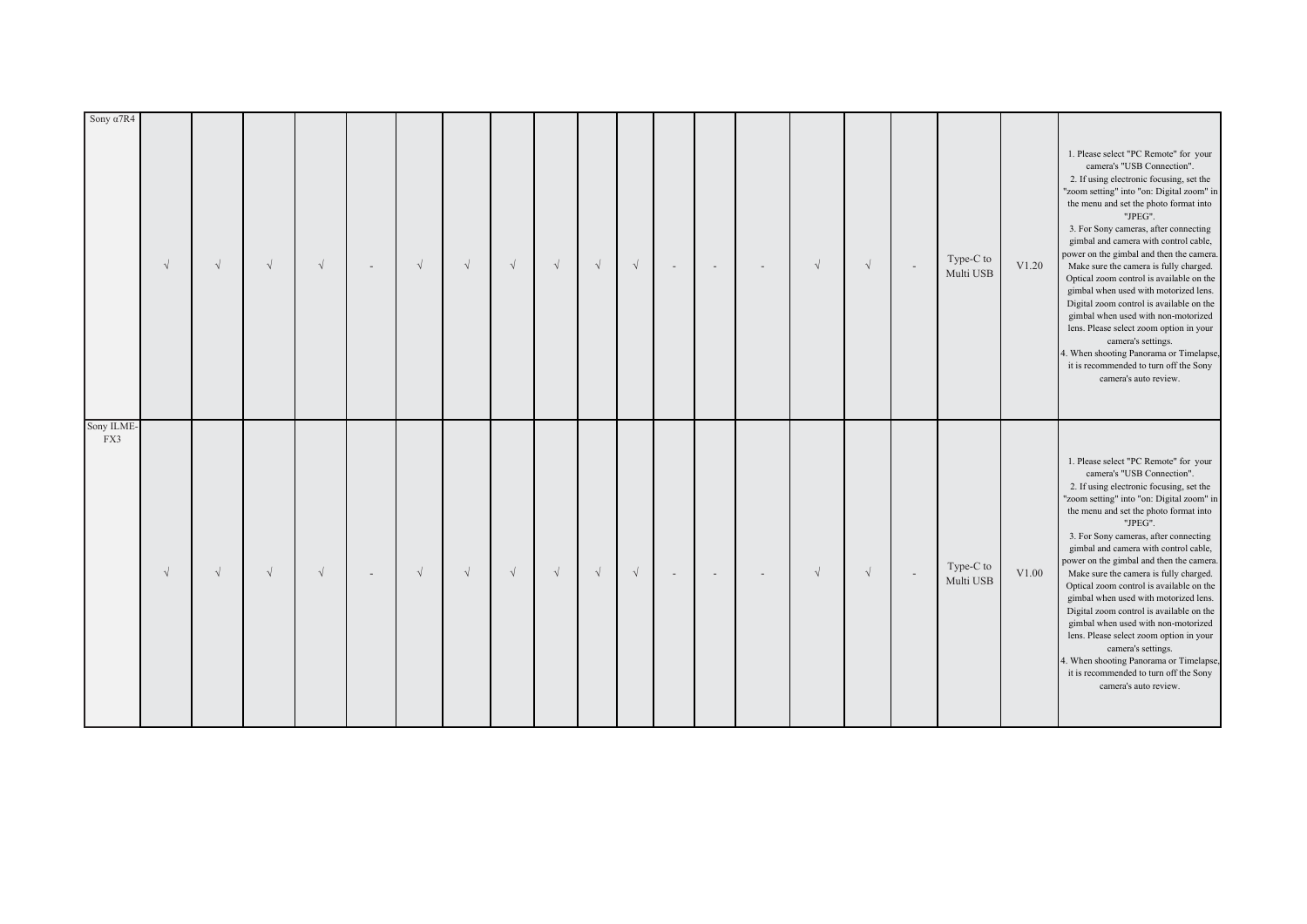| Sony ILME-<br>FX3                                                                                                                                                                                                                                                                                                                                                                                                                                                                                                                                                                                                                                                                                                                                | Sony $\alpha$ 7R4                                                                                                                                                                                                                                                                                                                                                                                                                                                                                                                                                                                                                                                                                                                                |
|--------------------------------------------------------------------------------------------------------------------------------------------------------------------------------------------------------------------------------------------------------------------------------------------------------------------------------------------------------------------------------------------------------------------------------------------------------------------------------------------------------------------------------------------------------------------------------------------------------------------------------------------------------------------------------------------------------------------------------------------------|--------------------------------------------------------------------------------------------------------------------------------------------------------------------------------------------------------------------------------------------------------------------------------------------------------------------------------------------------------------------------------------------------------------------------------------------------------------------------------------------------------------------------------------------------------------------------------------------------------------------------------------------------------------------------------------------------------------------------------------------------|
| $\sqrt{ }$                                                                                                                                                                                                                                                                                                                                                                                                                                                                                                                                                                                                                                                                                                                                       | $\sqrt{ }$                                                                                                                                                                                                                                                                                                                                                                                                                                                                                                                                                                                                                                                                                                                                       |
| $\sqrt{}$                                                                                                                                                                                                                                                                                                                                                                                                                                                                                                                                                                                                                                                                                                                                        | $\sqrt{}$                                                                                                                                                                                                                                                                                                                                                                                                                                                                                                                                                                                                                                                                                                                                        |
| $\sqrt{ }$                                                                                                                                                                                                                                                                                                                                                                                                                                                                                                                                                                                                                                                                                                                                       | $\sqrt{}$                                                                                                                                                                                                                                                                                                                                                                                                                                                                                                                                                                                                                                                                                                                                        |
| $\sqrt{ }$                                                                                                                                                                                                                                                                                                                                                                                                                                                                                                                                                                                                                                                                                                                                       | $\sqrt{ }$                                                                                                                                                                                                                                                                                                                                                                                                                                                                                                                                                                                                                                                                                                                                       |
| $\overline{\phantom{a}}$                                                                                                                                                                                                                                                                                                                                                                                                                                                                                                                                                                                                                                                                                                                         |                                                                                                                                                                                                                                                                                                                                                                                                                                                                                                                                                                                                                                                                                                                                                  |
| $\sqrt{ }$                                                                                                                                                                                                                                                                                                                                                                                                                                                                                                                                                                                                                                                                                                                                       | $\sqrt{ }$                                                                                                                                                                                                                                                                                                                                                                                                                                                                                                                                                                                                                                                                                                                                       |
| $\sqrt{ }$                                                                                                                                                                                                                                                                                                                                                                                                                                                                                                                                                                                                                                                                                                                                       | $\sqrt{ }$                                                                                                                                                                                                                                                                                                                                                                                                                                                                                                                                                                                                                                                                                                                                       |
| $\sqrt{ }$                                                                                                                                                                                                                                                                                                                                                                                                                                                                                                                                                                                                                                                                                                                                       | $\sqrt{ }$                                                                                                                                                                                                                                                                                                                                                                                                                                                                                                                                                                                                                                                                                                                                       |
| $\sqrt{ }$                                                                                                                                                                                                                                                                                                                                                                                                                                                                                                                                                                                                                                                                                                                                       | $\sqrt{ }$                                                                                                                                                                                                                                                                                                                                                                                                                                                                                                                                                                                                                                                                                                                                       |
| $\sqrt{}$                                                                                                                                                                                                                                                                                                                                                                                                                                                                                                                                                                                                                                                                                                                                        | $\sqrt{ }$                                                                                                                                                                                                                                                                                                                                                                                                                                                                                                                                                                                                                                                                                                                                       |
| $\sqrt{}$                                                                                                                                                                                                                                                                                                                                                                                                                                                                                                                                                                                                                                                                                                                                        | $\sqrt{ }$                                                                                                                                                                                                                                                                                                                                                                                                                                                                                                                                                                                                                                                                                                                                       |
| $\sim$                                                                                                                                                                                                                                                                                                                                                                                                                                                                                                                                                                                                                                                                                                                                           | $\overline{\phantom{a}}$                                                                                                                                                                                                                                                                                                                                                                                                                                                                                                                                                                                                                                                                                                                         |
| $\overline{\phantom{a}}$                                                                                                                                                                                                                                                                                                                                                                                                                                                                                                                                                                                                                                                                                                                         | $\sim$                                                                                                                                                                                                                                                                                                                                                                                                                                                                                                                                                                                                                                                                                                                                           |
| $\overline{\phantom{a}}$                                                                                                                                                                                                                                                                                                                                                                                                                                                                                                                                                                                                                                                                                                                         | $\overline{\phantom{a}}$                                                                                                                                                                                                                                                                                                                                                                                                                                                                                                                                                                                                                                                                                                                         |
| $\sqrt{ }$                                                                                                                                                                                                                                                                                                                                                                                                                                                                                                                                                                                                                                                                                                                                       | $\sqrt{ }$                                                                                                                                                                                                                                                                                                                                                                                                                                                                                                                                                                                                                                                                                                                                       |
| $\sqrt{}$                                                                                                                                                                                                                                                                                                                                                                                                                                                                                                                                                                                                                                                                                                                                        | $\sqrt{}$                                                                                                                                                                                                                                                                                                                                                                                                                                                                                                                                                                                                                                                                                                                                        |
| $\sim$                                                                                                                                                                                                                                                                                                                                                                                                                                                                                                                                                                                                                                                                                                                                           | $\sim$                                                                                                                                                                                                                                                                                                                                                                                                                                                                                                                                                                                                                                                                                                                                           |
| Type-C to<br>Multi USB                                                                                                                                                                                                                                                                                                                                                                                                                                                                                                                                                                                                                                                                                                                           | Type-C to<br>Multi USB                                                                                                                                                                                                                                                                                                                                                                                                                                                                                                                                                                                                                                                                                                                           |
| V1.00                                                                                                                                                                                                                                                                                                                                                                                                                                                                                                                                                                                                                                                                                                                                            | V1.20                                                                                                                                                                                                                                                                                                                                                                                                                                                                                                                                                                                                                                                                                                                                            |
| 1. Please select "PC Remote" for your<br>camera's "USB Connection".<br>2. If using electronic focusing, set the<br>"zoom setting" into "on: Digital zoom" in<br>the menu and set the photo format into<br>"JPEG".<br>3. For Sony cameras, after connecting<br>gimbal and camera with control cable,<br>power on the gimbal and then the camera.<br>Make sure the camera is fully charged.<br>Optical zoom control is available on the<br>gimbal when used with motorized lens.<br>Digital zoom control is available on the<br>gimbal when used with non-motorized<br>lens. Please select zoom option in your<br>camera's settings.<br>4. When shooting Panorama or Timelapse,<br>it is recommended to turn off the Sony<br>camera's auto review. | 1. Please select "PC Remote" for your<br>camera's "USB Connection".<br>2. If using electronic focusing, set the<br>"zoom setting" into "on: Digital zoom" in<br>the menu and set the photo format into<br>"JPEG".<br>3. For Sony cameras, after connecting<br>gimbal and camera with control cable,<br>power on the gimbal and then the camera.<br>Make sure the camera is fully charged.<br>Optical zoom control is available on the<br>gimbal when used with motorized lens.<br>Digital zoom control is available on the<br>gimbal when used with non-motorized<br>lens. Please select zoom option in your<br>camera's settings.<br>4. When shooting Panorama or Timelapse,<br>it is recommended to turn off the Sony<br>camera's auto review. |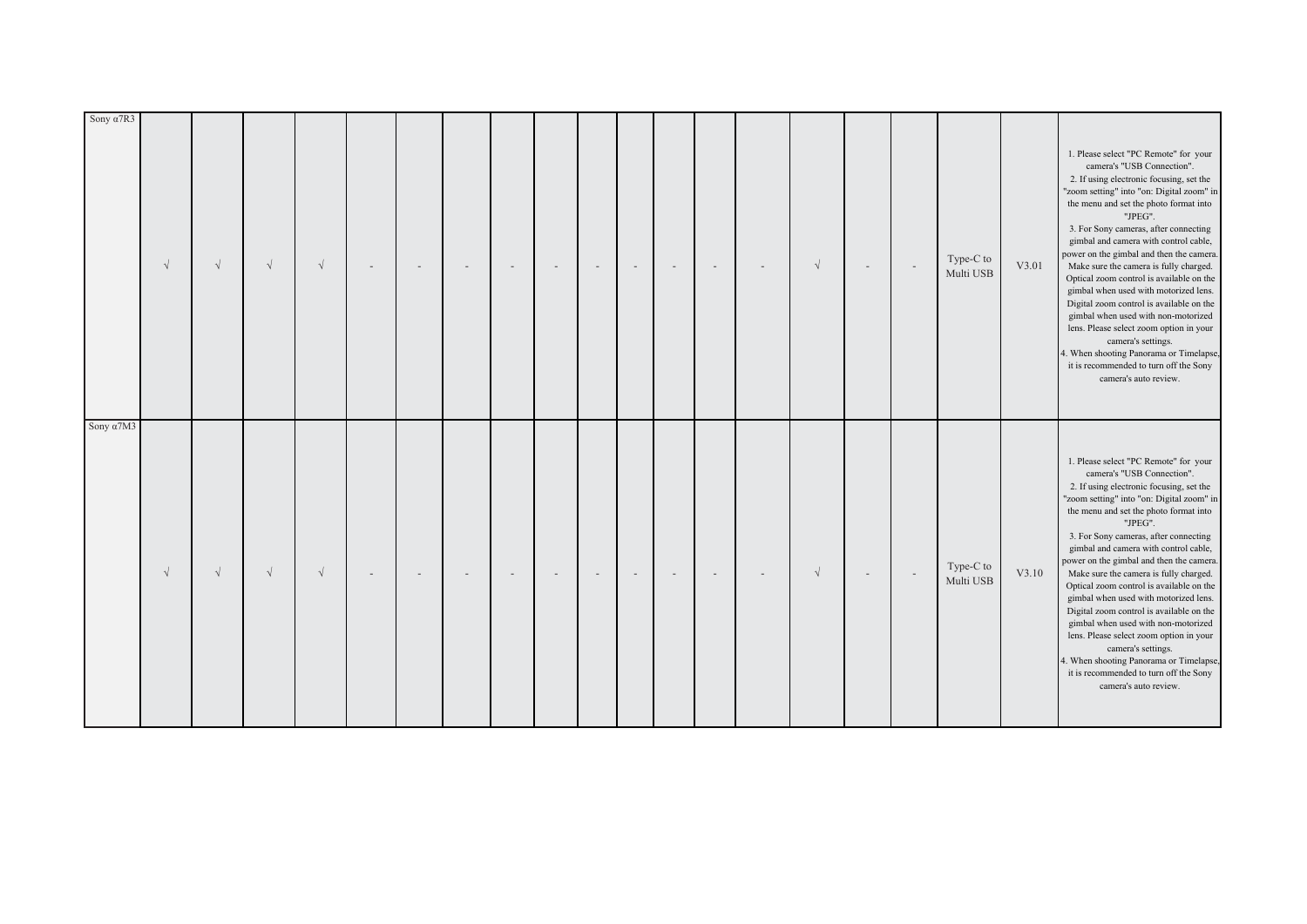| Sony $\alpha$ 7M3                                                                                                                                                                                                                                                                                                                                                                                                                                                                                                                                                                                                                                                                                                                                | Sony $\alpha$ 7R3                                                                                                                                                                                                                                                                                                                                                                                                                                                                                                                                                                                                                                                                                                                                |
|--------------------------------------------------------------------------------------------------------------------------------------------------------------------------------------------------------------------------------------------------------------------------------------------------------------------------------------------------------------------------------------------------------------------------------------------------------------------------------------------------------------------------------------------------------------------------------------------------------------------------------------------------------------------------------------------------------------------------------------------------|--------------------------------------------------------------------------------------------------------------------------------------------------------------------------------------------------------------------------------------------------------------------------------------------------------------------------------------------------------------------------------------------------------------------------------------------------------------------------------------------------------------------------------------------------------------------------------------------------------------------------------------------------------------------------------------------------------------------------------------------------|
| $\sqrt{ }$                                                                                                                                                                                                                                                                                                                                                                                                                                                                                                                                                                                                                                                                                                                                       | $\sqrt{ }$                                                                                                                                                                                                                                                                                                                                                                                                                                                                                                                                                                                                                                                                                                                                       |
| $\sqrt{ }$                                                                                                                                                                                                                                                                                                                                                                                                                                                                                                                                                                                                                                                                                                                                       | $\sqrt{ }$                                                                                                                                                                                                                                                                                                                                                                                                                                                                                                                                                                                                                                                                                                                                       |
| $\sqrt{ }$                                                                                                                                                                                                                                                                                                                                                                                                                                                                                                                                                                                                                                                                                                                                       | $\sqrt{ }$                                                                                                                                                                                                                                                                                                                                                                                                                                                                                                                                                                                                                                                                                                                                       |
| $\sqrt{ }$                                                                                                                                                                                                                                                                                                                                                                                                                                                                                                                                                                                                                                                                                                                                       | $\sqrt{ }$                                                                                                                                                                                                                                                                                                                                                                                                                                                                                                                                                                                                                                                                                                                                       |
|                                                                                                                                                                                                                                                                                                                                                                                                                                                                                                                                                                                                                                                                                                                                                  |                                                                                                                                                                                                                                                                                                                                                                                                                                                                                                                                                                                                                                                                                                                                                  |
|                                                                                                                                                                                                                                                                                                                                                                                                                                                                                                                                                                                                                                                                                                                                                  |                                                                                                                                                                                                                                                                                                                                                                                                                                                                                                                                                                                                                                                                                                                                                  |
|                                                                                                                                                                                                                                                                                                                                                                                                                                                                                                                                                                                                                                                                                                                                                  |                                                                                                                                                                                                                                                                                                                                                                                                                                                                                                                                                                                                                                                                                                                                                  |
|                                                                                                                                                                                                                                                                                                                                                                                                                                                                                                                                                                                                                                                                                                                                                  |                                                                                                                                                                                                                                                                                                                                                                                                                                                                                                                                                                                                                                                                                                                                                  |
|                                                                                                                                                                                                                                                                                                                                                                                                                                                                                                                                                                                                                                                                                                                                                  |                                                                                                                                                                                                                                                                                                                                                                                                                                                                                                                                                                                                                                                                                                                                                  |
|                                                                                                                                                                                                                                                                                                                                                                                                                                                                                                                                                                                                                                                                                                                                                  |                                                                                                                                                                                                                                                                                                                                                                                                                                                                                                                                                                                                                                                                                                                                                  |
|                                                                                                                                                                                                                                                                                                                                                                                                                                                                                                                                                                                                                                                                                                                                                  |                                                                                                                                                                                                                                                                                                                                                                                                                                                                                                                                                                                                                                                                                                                                                  |
|                                                                                                                                                                                                                                                                                                                                                                                                                                                                                                                                                                                                                                                                                                                                                  |                                                                                                                                                                                                                                                                                                                                                                                                                                                                                                                                                                                                                                                                                                                                                  |
|                                                                                                                                                                                                                                                                                                                                                                                                                                                                                                                                                                                                                                                                                                                                                  |                                                                                                                                                                                                                                                                                                                                                                                                                                                                                                                                                                                                                                                                                                                                                  |
|                                                                                                                                                                                                                                                                                                                                                                                                                                                                                                                                                                                                                                                                                                                                                  |                                                                                                                                                                                                                                                                                                                                                                                                                                                                                                                                                                                                                                                                                                                                                  |
| $\sqrt{ }$                                                                                                                                                                                                                                                                                                                                                                                                                                                                                                                                                                                                                                                                                                                                       | $\sqrt{}$                                                                                                                                                                                                                                                                                                                                                                                                                                                                                                                                                                                                                                                                                                                                        |
|                                                                                                                                                                                                                                                                                                                                                                                                                                                                                                                                                                                                                                                                                                                                                  |                                                                                                                                                                                                                                                                                                                                                                                                                                                                                                                                                                                                                                                                                                                                                  |
| $\overline{\phantom{a}}$                                                                                                                                                                                                                                                                                                                                                                                                                                                                                                                                                                                                                                                                                                                         |                                                                                                                                                                                                                                                                                                                                                                                                                                                                                                                                                                                                                                                                                                                                                  |
| Type-C to<br>Multi USB                                                                                                                                                                                                                                                                                                                                                                                                                                                                                                                                                                                                                                                                                                                           | Type-C to<br>Multi USB                                                                                                                                                                                                                                                                                                                                                                                                                                                                                                                                                                                                                                                                                                                           |
| V3.10                                                                                                                                                                                                                                                                                                                                                                                                                                                                                                                                                                                                                                                                                                                                            | V3.01                                                                                                                                                                                                                                                                                                                                                                                                                                                                                                                                                                                                                                                                                                                                            |
| 1. Please select "PC Remote" for your<br>camera's "USB Connection".<br>2. If using electronic focusing, set the<br>"zoom setting" into "on: Digital zoom" in<br>the menu and set the photo format into<br>"JPEG".<br>3. For Sony cameras, after connecting<br>gimbal and camera with control cable,<br>bower on the gimbal and then the camera.<br>Make sure the camera is fully charged.<br>Optical zoom control is available on the<br>gimbal when used with motorized lens.<br>Digital zoom control is available on the<br>gimbal when used with non-motorized<br>lens. Please select zoom option in your<br>camera's settings.<br>4. When shooting Panorama or Timelapse,<br>it is recommended to turn off the Sony<br>camera's auto review. | 1. Please select "PC Remote" for your<br>camera's "USB Connection".<br>2. If using electronic focusing, set the<br>"zoom setting" into "on: Digital zoom" in<br>the menu and set the photo format into<br>"JPEG".<br>3. For Sony cameras, after connecting<br>gimbal and camera with control cable,<br>power on the gimbal and then the camera.<br>Make sure the camera is fully charged.<br>Optical zoom control is available on the<br>gimbal when used with motorized lens.<br>Digital zoom control is available on the<br>gimbal when used with non-motorized<br>lens. Please select zoom option in your<br>camera's settings.<br>4. When shooting Panorama or Timelapse,<br>it is recommended to turn off the Sony<br>camera's auto review. |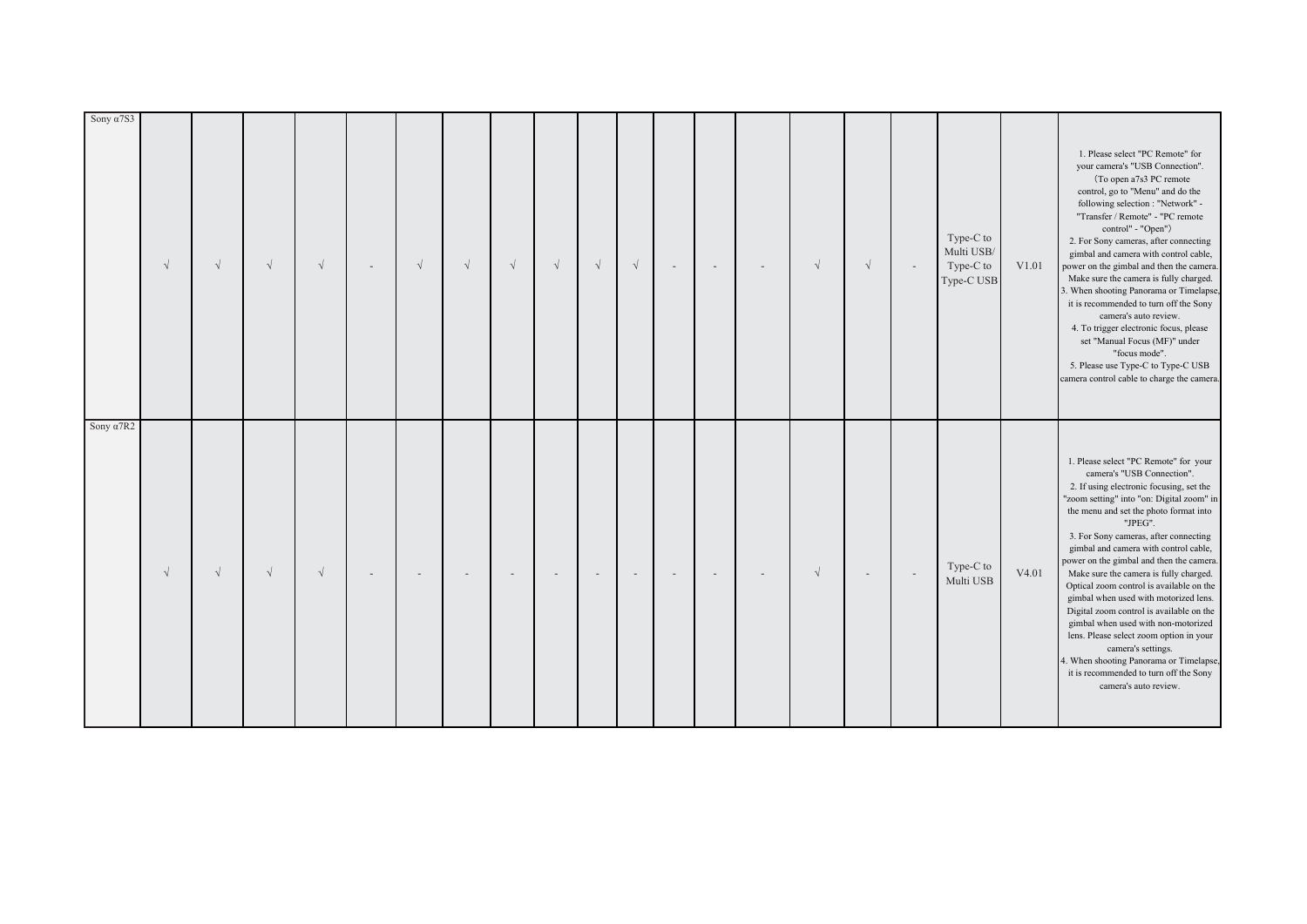| Sony $\alpha$ 7S3 | $\sqrt{ }$ | $\sqrt{ }$ | $\sqrt{ }$ | $\sqrt{ }$ | $\sqrt{ }$ | $\sqrt{ }$ | $\sqrt{ }$ | $\sqrt{ }$ | $\sqrt{}$ | $\sqrt{ }$ | $\sim$ | $\overline{\phantom{a}}$ | $\overline{\phantom{a}}$ | $\sqrt{}$  | $\sqrt{ }$ |        | Type-C to<br>Multi USB/<br>Type-C to<br>Type-C USB | V1.01 | 1. Please select "PC Remote" for<br>your camera's "USB Connection".<br>(To open a7s3 PC remote<br>control, go to "Menu" and do the<br>following selection : "Network" -<br>"Transfer / Remote" - "PC remote<br>control" - "Open")<br>2. For Sony cameras, after connecting<br>gimbal and camera with control cable,<br>power on the gimbal and then the camera.<br>Make sure the camera is fully charged.<br>3. When shooting Panorama or Timelapse,<br>it is recommended to turn off the Sony<br>camera's auto review.<br>4. To trigger electronic focus, please<br>set "Manual Focus (MF)" under<br>"focus mode".<br>5. Please use Type-C to Type-C USB<br>camera control cable to charge the camera.                                          |
|-------------------|------------|------------|------------|------------|------------|------------|------------|------------|-----------|------------|--------|--------------------------|--------------------------|------------|------------|--------|----------------------------------------------------|-------|--------------------------------------------------------------------------------------------------------------------------------------------------------------------------------------------------------------------------------------------------------------------------------------------------------------------------------------------------------------------------------------------------------------------------------------------------------------------------------------------------------------------------------------------------------------------------------------------------------------------------------------------------------------------------------------------------------------------------------------------------|
| Sony $\alpha$ 7R2 | $\sqrt{ }$ | $\sqrt{ }$ | $\sqrt{ }$ | $\sqrt{ }$ |            |            |            |            |           |            |        |                          |                          | $\sqrt{ }$ |            | $\sim$ | Type-C to<br>Multi USB                             | V4.01 | 1. Please select "PC Remote" for your<br>camera's "USB Connection".<br>2. If using electronic focusing, set the<br>"zoom setting" into "on: Digital zoom" in<br>the menu and set the photo format into<br>"JPEG".<br>3. For Sony cameras, after connecting<br>gimbal and camera with control cable,<br>bower on the gimbal and then the camera.<br>Make sure the camera is fully charged.<br>Optical zoom control is available on the<br>gimbal when used with motorized lens.<br>Digital zoom control is available on the<br>gimbal when used with non-motorized<br>lens. Please select zoom option in your<br>camera's settings.<br>4. When shooting Panorama or Timelapse,<br>it is recommended to turn off the Sony<br>camera's auto review. |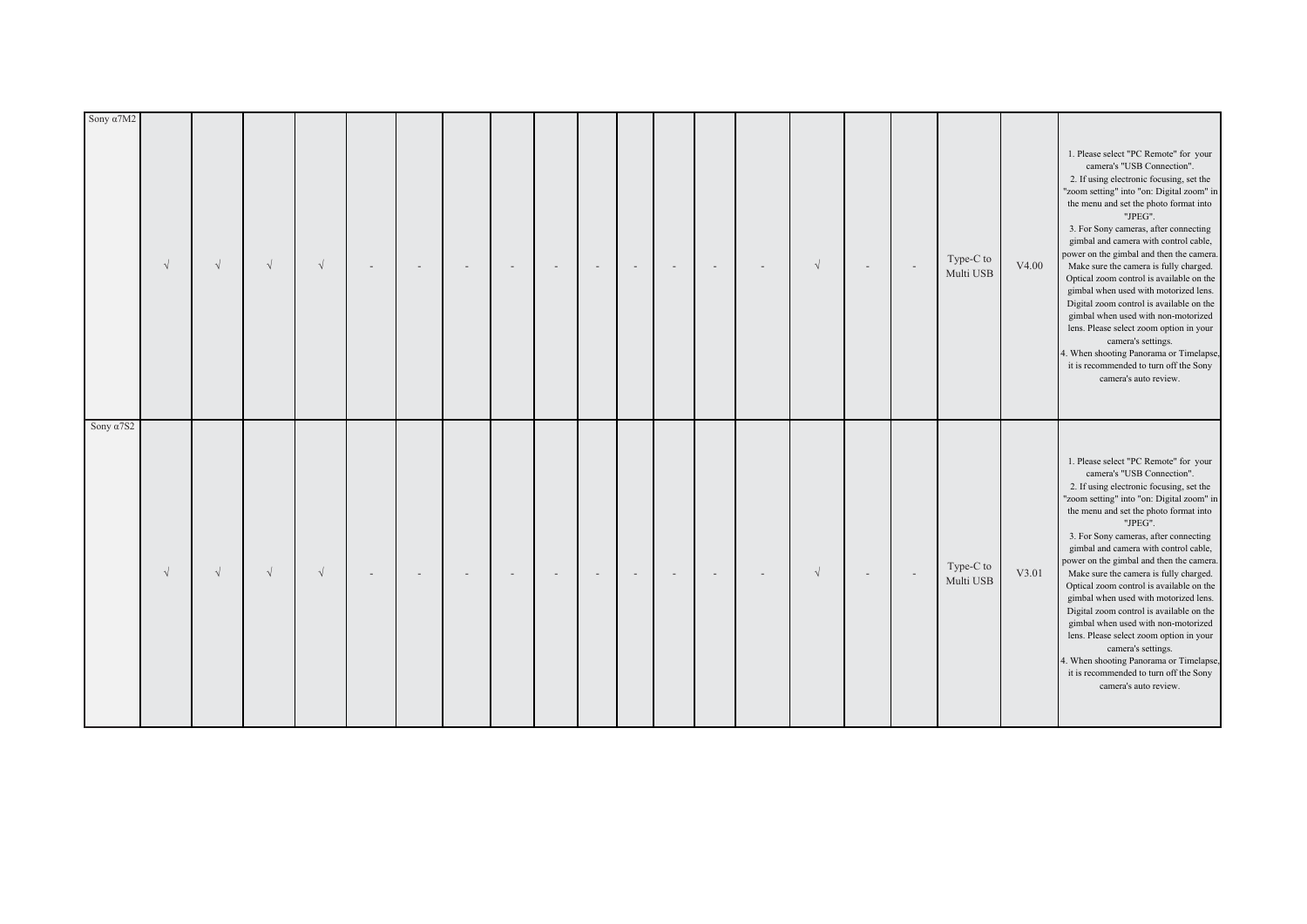| Sony $\alpha$ 7S2                                                                                                                                                                                                                                                                                                                                                                                                                                                                                                                                                                                                                                                                                                                                | Sony a7M2                                                                                                                                                                                                                                                                                                                                                                                                                                                                                                                                                                                                                                                                                                                                        |
|--------------------------------------------------------------------------------------------------------------------------------------------------------------------------------------------------------------------------------------------------------------------------------------------------------------------------------------------------------------------------------------------------------------------------------------------------------------------------------------------------------------------------------------------------------------------------------------------------------------------------------------------------------------------------------------------------------------------------------------------------|--------------------------------------------------------------------------------------------------------------------------------------------------------------------------------------------------------------------------------------------------------------------------------------------------------------------------------------------------------------------------------------------------------------------------------------------------------------------------------------------------------------------------------------------------------------------------------------------------------------------------------------------------------------------------------------------------------------------------------------------------|
| $\sqrt{ }$                                                                                                                                                                                                                                                                                                                                                                                                                                                                                                                                                                                                                                                                                                                                       | $\sqrt{ }$                                                                                                                                                                                                                                                                                                                                                                                                                                                                                                                                                                                                                                                                                                                                       |
| $\sqrt{ }$                                                                                                                                                                                                                                                                                                                                                                                                                                                                                                                                                                                                                                                                                                                                       | $\sqrt{ }$                                                                                                                                                                                                                                                                                                                                                                                                                                                                                                                                                                                                                                                                                                                                       |
| $\sqrt{ }$                                                                                                                                                                                                                                                                                                                                                                                                                                                                                                                                                                                                                                                                                                                                       | $\sqrt{ }$                                                                                                                                                                                                                                                                                                                                                                                                                                                                                                                                                                                                                                                                                                                                       |
| $\sqrt{ }$                                                                                                                                                                                                                                                                                                                                                                                                                                                                                                                                                                                                                                                                                                                                       | $\sqrt{ }$                                                                                                                                                                                                                                                                                                                                                                                                                                                                                                                                                                                                                                                                                                                                       |
|                                                                                                                                                                                                                                                                                                                                                                                                                                                                                                                                                                                                                                                                                                                                                  |                                                                                                                                                                                                                                                                                                                                                                                                                                                                                                                                                                                                                                                                                                                                                  |
|                                                                                                                                                                                                                                                                                                                                                                                                                                                                                                                                                                                                                                                                                                                                                  |                                                                                                                                                                                                                                                                                                                                                                                                                                                                                                                                                                                                                                                                                                                                                  |
|                                                                                                                                                                                                                                                                                                                                                                                                                                                                                                                                                                                                                                                                                                                                                  |                                                                                                                                                                                                                                                                                                                                                                                                                                                                                                                                                                                                                                                                                                                                                  |
|                                                                                                                                                                                                                                                                                                                                                                                                                                                                                                                                                                                                                                                                                                                                                  |                                                                                                                                                                                                                                                                                                                                                                                                                                                                                                                                                                                                                                                                                                                                                  |
|                                                                                                                                                                                                                                                                                                                                                                                                                                                                                                                                                                                                                                                                                                                                                  |                                                                                                                                                                                                                                                                                                                                                                                                                                                                                                                                                                                                                                                                                                                                                  |
|                                                                                                                                                                                                                                                                                                                                                                                                                                                                                                                                                                                                                                                                                                                                                  |                                                                                                                                                                                                                                                                                                                                                                                                                                                                                                                                                                                                                                                                                                                                                  |
|                                                                                                                                                                                                                                                                                                                                                                                                                                                                                                                                                                                                                                                                                                                                                  |                                                                                                                                                                                                                                                                                                                                                                                                                                                                                                                                                                                                                                                                                                                                                  |
|                                                                                                                                                                                                                                                                                                                                                                                                                                                                                                                                                                                                                                                                                                                                                  |                                                                                                                                                                                                                                                                                                                                                                                                                                                                                                                                                                                                                                                                                                                                                  |
|                                                                                                                                                                                                                                                                                                                                                                                                                                                                                                                                                                                                                                                                                                                                                  |                                                                                                                                                                                                                                                                                                                                                                                                                                                                                                                                                                                                                                                                                                                                                  |
|                                                                                                                                                                                                                                                                                                                                                                                                                                                                                                                                                                                                                                                                                                                                                  | $\overline{\phantom{a}}$                                                                                                                                                                                                                                                                                                                                                                                                                                                                                                                                                                                                                                                                                                                         |
| $\sqrt{}$                                                                                                                                                                                                                                                                                                                                                                                                                                                                                                                                                                                                                                                                                                                                        | $\sqrt{}$                                                                                                                                                                                                                                                                                                                                                                                                                                                                                                                                                                                                                                                                                                                                        |
|                                                                                                                                                                                                                                                                                                                                                                                                                                                                                                                                                                                                                                                                                                                                                  |                                                                                                                                                                                                                                                                                                                                                                                                                                                                                                                                                                                                                                                                                                                                                  |
| $\sim$                                                                                                                                                                                                                                                                                                                                                                                                                                                                                                                                                                                                                                                                                                                                           |                                                                                                                                                                                                                                                                                                                                                                                                                                                                                                                                                                                                                                                                                                                                                  |
| Type-C to<br>Multi USB                                                                                                                                                                                                                                                                                                                                                                                                                                                                                                                                                                                                                                                                                                                           | Type-C to<br>Multi USB                                                                                                                                                                                                                                                                                                                                                                                                                                                                                                                                                                                                                                                                                                                           |
| V3.01                                                                                                                                                                                                                                                                                                                                                                                                                                                                                                                                                                                                                                                                                                                                            | V4.00                                                                                                                                                                                                                                                                                                                                                                                                                                                                                                                                                                                                                                                                                                                                            |
| 1. Please select "PC Remote" for your<br>camera's "USB Connection".<br>2. If using electronic focusing, set the<br>"zoom setting" into "on: Digital zoom" in<br>the menu and set the photo format into<br>"JPEG".<br>3. For Sony cameras, after connecting<br>gimbal and camera with control cable,<br>bower on the gimbal and then the camera.<br>Make sure the camera is fully charged.<br>Optical zoom control is available on the<br>gimbal when used with motorized lens.<br>Digital zoom control is available on the<br>gimbal when used with non-motorized<br>lens. Please select zoom option in your<br>camera's settings.<br>4. When shooting Panorama or Timelapse,<br>it is recommended to turn off the Sony<br>camera's auto review. | 1. Please select "PC Remote" for your<br>camera's "USB Connection".<br>2. If using electronic focusing, set the<br>"zoom setting" into "on: Digital zoom" in<br>the menu and set the photo format into<br>"JPEG".<br>3. For Sony cameras, after connecting<br>gimbal and camera with control cable,<br>power on the gimbal and then the camera.<br>Make sure the camera is fully charged.<br>Optical zoom control is available on the<br>gimbal when used with motorized lens.<br>Digital zoom control is available on the<br>gimbal when used with non-motorized<br>lens. Please select zoom option in your<br>camera's settings.<br>4. When shooting Panorama or Timelapse,<br>it is recommended to turn off the Sony<br>camera's auto review. |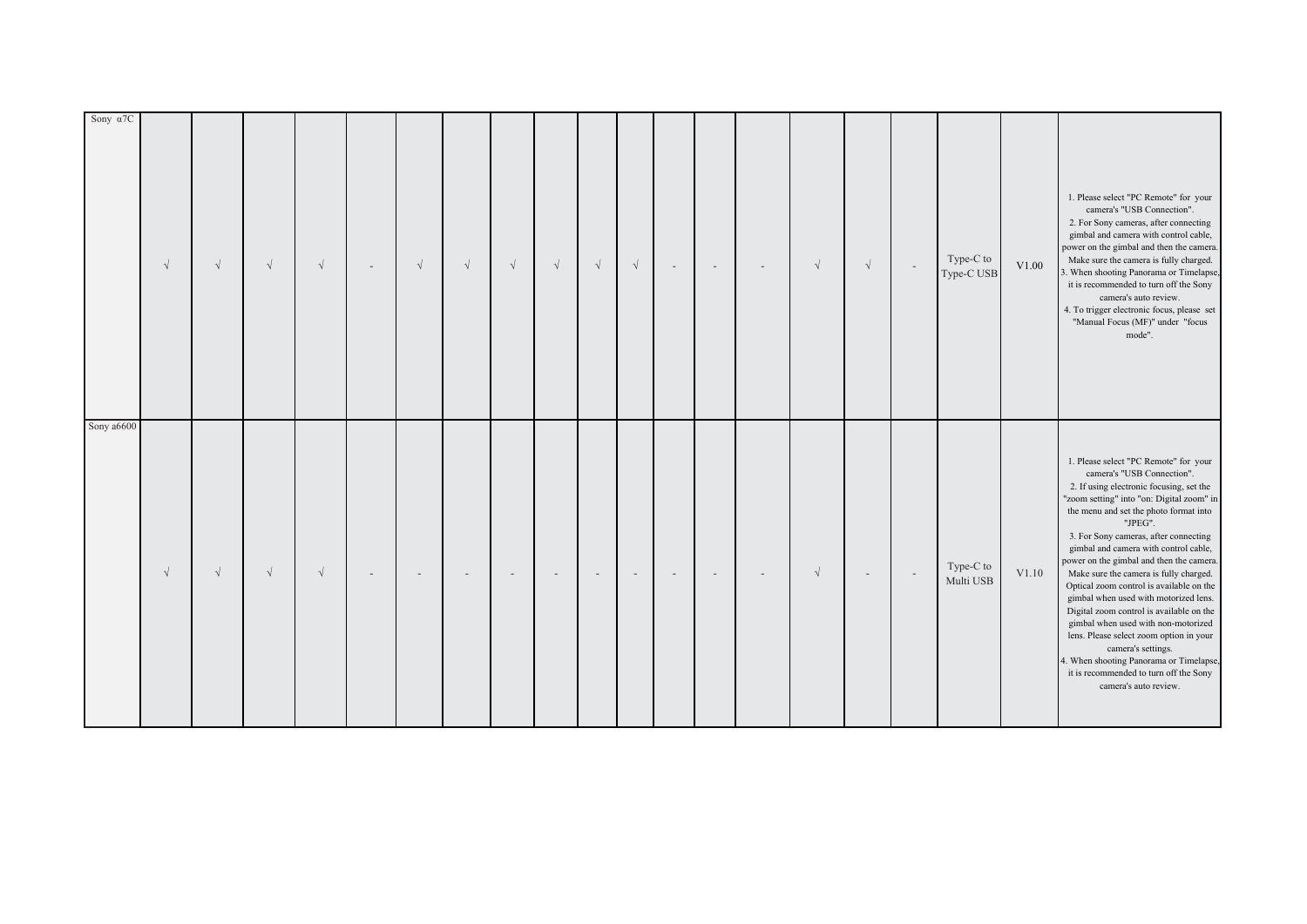| Sony $\alpha$ 7C | $\sqrt{ }$ | $\sqrt{}$  | $\sqrt{ }$ | $\sqrt{ }$ | $\sqrt{ }$ | $\sqrt{ }$ | $\sqrt{ }$ | $\sqrt{ }$ | $\sqrt{}$ | $\sqrt{ }$ | $\sim$ | $\overline{\phantom{a}}$ | $\overline{\phantom{a}}$ | $\sqrt{}$  | $\sqrt{}$ |        | Type-C to<br>Type-C USB | V1.00 | 1. Please select "PC Remote" for your<br>camera's "USB Connection".<br>2. For Sony cameras, after connecting<br>gimbal and camera with control cable,<br>power on the gimbal and then the camera.<br>Make sure the camera is fully charged.<br>. When shooting Panorama or Timelapse,<br>it is recommended to turn off the Sony<br>camera's auto review.<br>4. To trigger electronic focus, please set<br>"Manual Focus (MF)" under "focus<br>mode".                                                                                                                                                                                                                                                                                             |
|------------------|------------|------------|------------|------------|------------|------------|------------|------------|-----------|------------|--------|--------------------------|--------------------------|------------|-----------|--------|-------------------------|-------|--------------------------------------------------------------------------------------------------------------------------------------------------------------------------------------------------------------------------------------------------------------------------------------------------------------------------------------------------------------------------------------------------------------------------------------------------------------------------------------------------------------------------------------------------------------------------------------------------------------------------------------------------------------------------------------------------------------------------------------------------|
| Sony a6600       | $\sqrt{ }$ | $\sqrt{ }$ | $\sqrt{ }$ | $\sqrt{ }$ |            |            |            |            |           |            |        |                          |                          | $\sqrt{ }$ |           | $\sim$ | Type-C to<br>Multi USB  | V1.10 | 1. Please select "PC Remote" for your<br>camera's "USB Connection".<br>2. If using electronic focusing, set the<br>"zoom setting" into "on: Digital zoom" in<br>the menu and set the photo format into<br>"JPEG".<br>3. For Sony cameras, after connecting<br>gimbal and camera with control cable,<br>power on the gimbal and then the camera.<br>Make sure the camera is fully charged.<br>Optical zoom control is available on the<br>gimbal when used with motorized lens.<br>Digital zoom control is available on the<br>gimbal when used with non-motorized<br>lens. Please select zoom option in your<br>camera's settings.<br>4. When shooting Panorama or Timelapse,<br>it is recommended to turn off the Sony<br>camera's auto review. |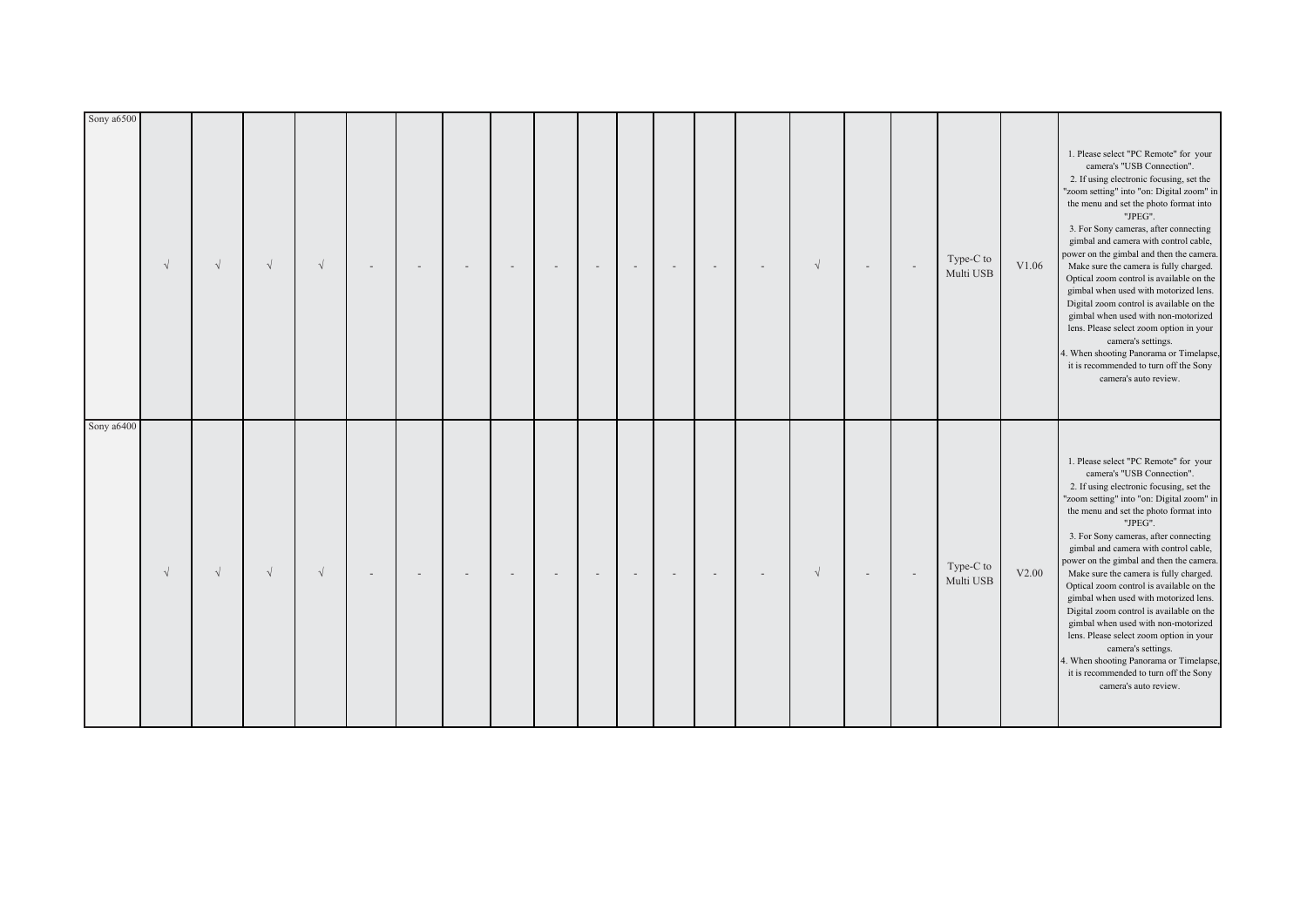| Sony a6400 | $\sqrt{ }$ | $\sqrt{ }$ | $\sqrt{ }$ | $\sqrt{ }$ |  |  |  |  | $\overline{\phantom{a}}$ | $\sqrt{}$ |        | Type-C to<br>Multi USB | V1.06 | 1. Please select "PC Remote" for your<br>camera's "USB Connection".<br>2. If using electronic focusing, set the<br>"zoom setting" into "on: Digital zoom" in<br>the menu and set the photo format into<br>"JPEG".<br>3. For Sony cameras, after connecting<br>gimbal and camera with control cable,<br>power on the gimbal and then the camera.<br>Make sure the camera is fully charged.<br>Optical zoom control is available on the<br>gimbal when used with motorized lens.<br>Digital zoom control is available on the<br>gimbal when used with non-motorized<br>lens. Please select zoom option in your<br>camera's settings.<br>4. When shooting Panorama or Timelapse,<br>it is recommended to turn off the Sony<br>camera's auto review. |
|------------|------------|------------|------------|------------|--|--|--|--|--------------------------|-----------|--------|------------------------|-------|--------------------------------------------------------------------------------------------------------------------------------------------------------------------------------------------------------------------------------------------------------------------------------------------------------------------------------------------------------------------------------------------------------------------------------------------------------------------------------------------------------------------------------------------------------------------------------------------------------------------------------------------------------------------------------------------------------------------------------------------------|
|            | $\sqrt{ }$ | $\sqrt{ }$ | $\sqrt{ }$ | $\sqrt{ }$ |  |  |  |  |                          | $\sqrt{}$ | $\sim$ | Type-C to<br>Multi USB | V2.00 | 1. Please select "PC Remote" for your<br>camera's "USB Connection".<br>2. If using electronic focusing, set the<br>"zoom setting" into "on: Digital zoom" in<br>the menu and set the photo format into<br>"JPEG".<br>3. For Sony cameras, after connecting<br>gimbal and camera with control cable,<br>bower on the gimbal and then the camera.<br>Make sure the camera is fully charged.<br>Optical zoom control is available on the<br>gimbal when used with motorized lens.<br>Digital zoom control is available on the<br>gimbal when used with non-motorized<br>lens. Please select zoom option in your<br>camera's settings.<br>4. When shooting Panorama or Timelapse,<br>it is recommended to turn off the Sony<br>camera's auto review. |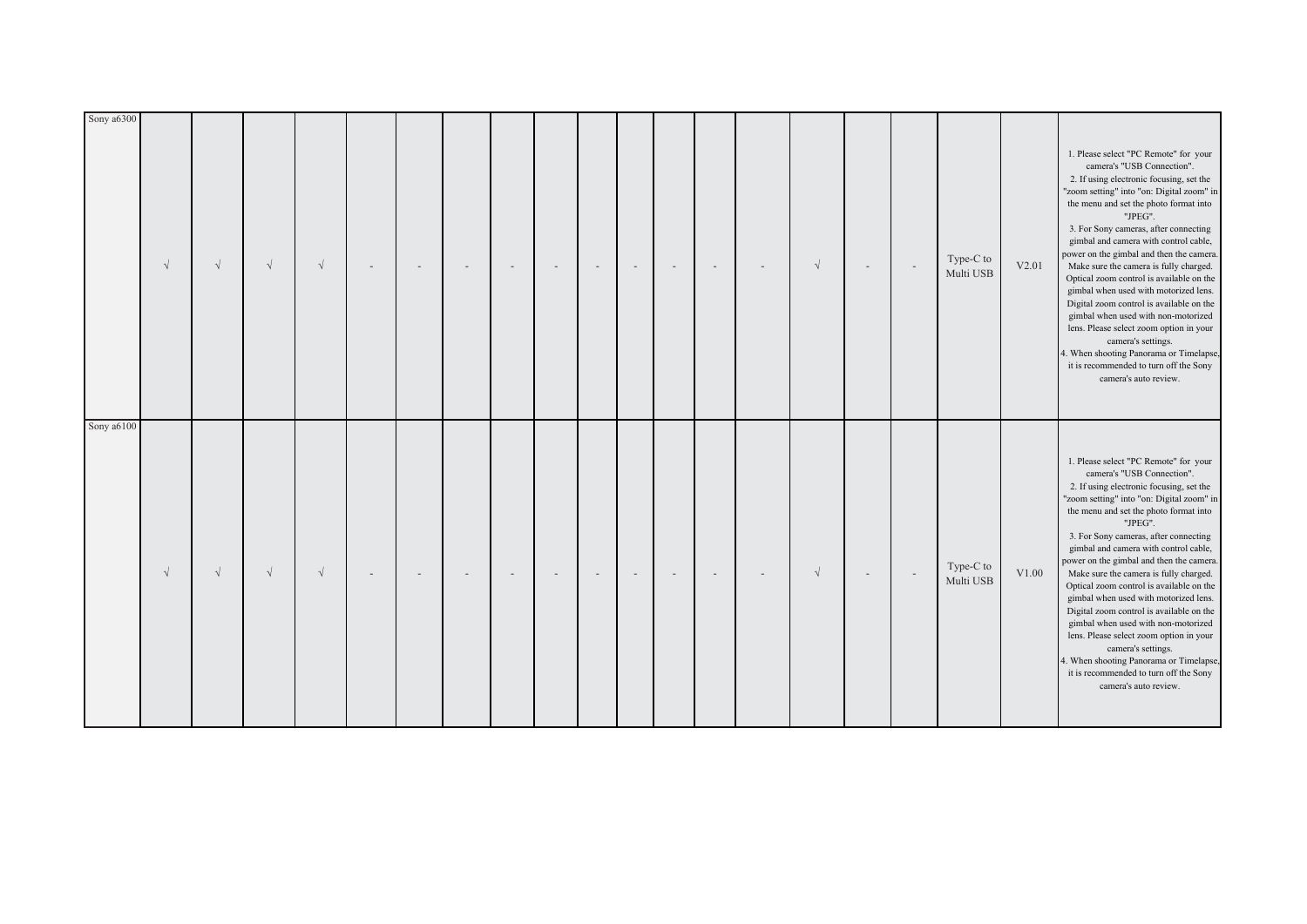| Sony a6100 | $\sqrt{ }$ | $\sqrt{ }$ | $\sqrt{ }$ | $\sqrt{ }$ |  |  |  |  |  | $\sqrt{}$  |                          | Type-C to<br>Multi USB | V2.01 | camera's "USB Connection".<br>2. If using electronic focusing, set the<br>"zoom setting" into "on: Digital zoom" in<br>the menu and set the photo format into<br>"JPEG".<br>3. For Sony cameras, after connecting<br>gimbal and camera with control cable,<br>power on the gimbal and then the camera.<br>Make sure the camera is fully charged.<br>Optical zoom control is available on the<br>gimbal when used with motorized lens.<br>Digital zoom control is available on the<br>gimbal when used with non-motorized<br>lens. Please select zoom option in your<br>camera's settings.<br>4. When shooting Panorama or Timelapse,<br>it is recommended to turn off the Sony<br>camera's auto review.<br>1. Please select "PC Remote" for your<br>camera's "USB Connection".<br>2. If using electronic focusing, set the |
|------------|------------|------------|------------|------------|--|--|--|--|--|------------|--------------------------|------------------------|-------|----------------------------------------------------------------------------------------------------------------------------------------------------------------------------------------------------------------------------------------------------------------------------------------------------------------------------------------------------------------------------------------------------------------------------------------------------------------------------------------------------------------------------------------------------------------------------------------------------------------------------------------------------------------------------------------------------------------------------------------------------------------------------------------------------------------------------|
|            | $\sqrt{ }$ | $\sqrt{ }$ | $\sqrt{ }$ | $\sqrt{ }$ |  |  |  |  |  | $\sqrt{ }$ | $\overline{\phantom{a}}$ | Type-C to<br>Multi USB | V1.00 | "zoom setting" into "on: Digital zoom" in<br>the menu and set the photo format into<br>"JPEG".<br>3. For Sony cameras, after connecting<br>gimbal and camera with control cable,<br>bower on the gimbal and then the camera.<br>Make sure the camera is fully charged.<br>Optical zoom control is available on the<br>gimbal when used with motorized lens.<br>Digital zoom control is available on the<br>gimbal when used with non-motorized<br>lens. Please select zoom option in your<br>camera's settings.<br>4. When shooting Panorama or Timelapse,<br>it is recommended to turn off the Sony<br>camera's auto review.                                                                                                                                                                                              |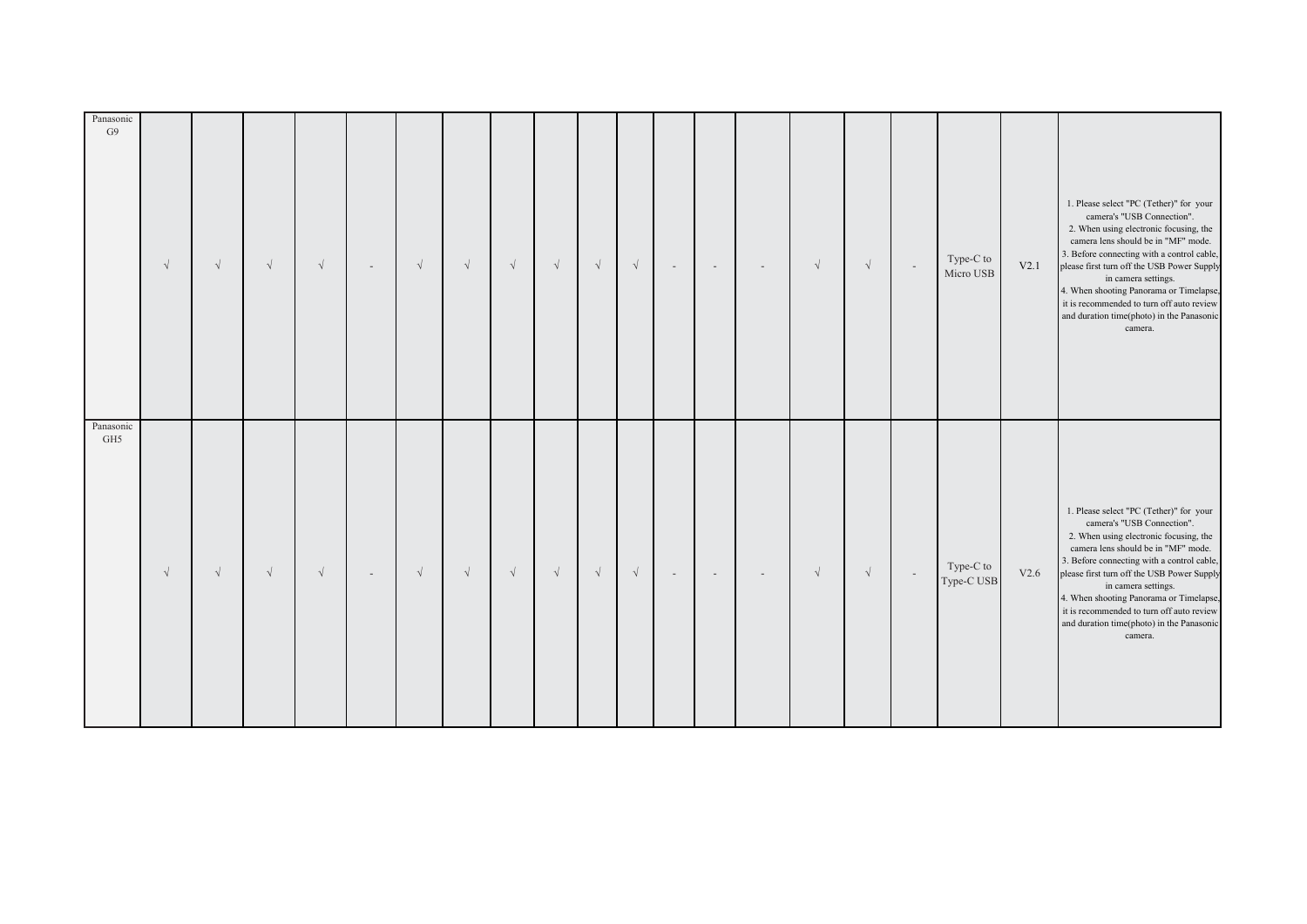| Panasonic<br>G9  | $\sqrt{ }$ | $\sqrt{}$ | $\sqrt{}$  | $\sqrt{}$  | $\overline{\phantom{a}}$ | $\sqrt{}$ | $\sqrt{}$  | $\sqrt{ }$ | $\sqrt{}$  | $\sqrt{ }$ | $\sqrt{ }$ | $\sim$ | $\overline{\phantom{a}}$ | $\sim$ | $\sqrt{ }$ | $\sqrt{\phantom{a}}$ | $\sim$ | Type-C to<br>Micro USB  | V2.1 | 1. Please select "PC (Tether)" for your<br>camera's "USB Connection".<br>2. When using electronic focusing, the<br>camera lens should be in "MF" mode.<br>3. Before connecting with a control cable,<br>please first turn off the USB Power Supply<br>in camera settings.<br>4. When shooting Panorama or Timelapse,<br>it is recommended to turn off auto review<br>and duration time(photo) in the Panasonic<br>camera. |
|------------------|------------|-----------|------------|------------|--------------------------|-----------|------------|------------|------------|------------|------------|--------|--------------------------|--------|------------|----------------------|--------|-------------------------|------|---------------------------------------------------------------------------------------------------------------------------------------------------------------------------------------------------------------------------------------------------------------------------------------------------------------------------------------------------------------------------------------------------------------------------|
| Panasonic<br>GH5 | $\sqrt{ }$ | $\sqrt{}$ | $\sqrt{ }$ | $\sqrt{ }$ | $\sim$                   | $\sqrt{}$ | $\sqrt{ }$ | $\sqrt{ }$ | $\sqrt{ }$ | $\sqrt{ }$ | $\sqrt{ }$ | $\sim$ | $\sim$                   | $\sim$ | $\sqrt{ }$ | $\sqrt{ }$           | $\sim$ | Type-C to<br>Type-C USB | V2.6 | 1. Please select "PC (Tether)" for your<br>camera's "USB Connection".<br>2. When using electronic focusing, the<br>camera lens should be in "MF" mode.<br>3. Before connecting with a control cable,<br>please first turn off the USB Power Supply<br>in camera settings.<br>4. When shooting Panorama or Timelapse,<br>it is recommended to turn off auto review<br>and duration time(photo) in the Panasonic<br>camera. |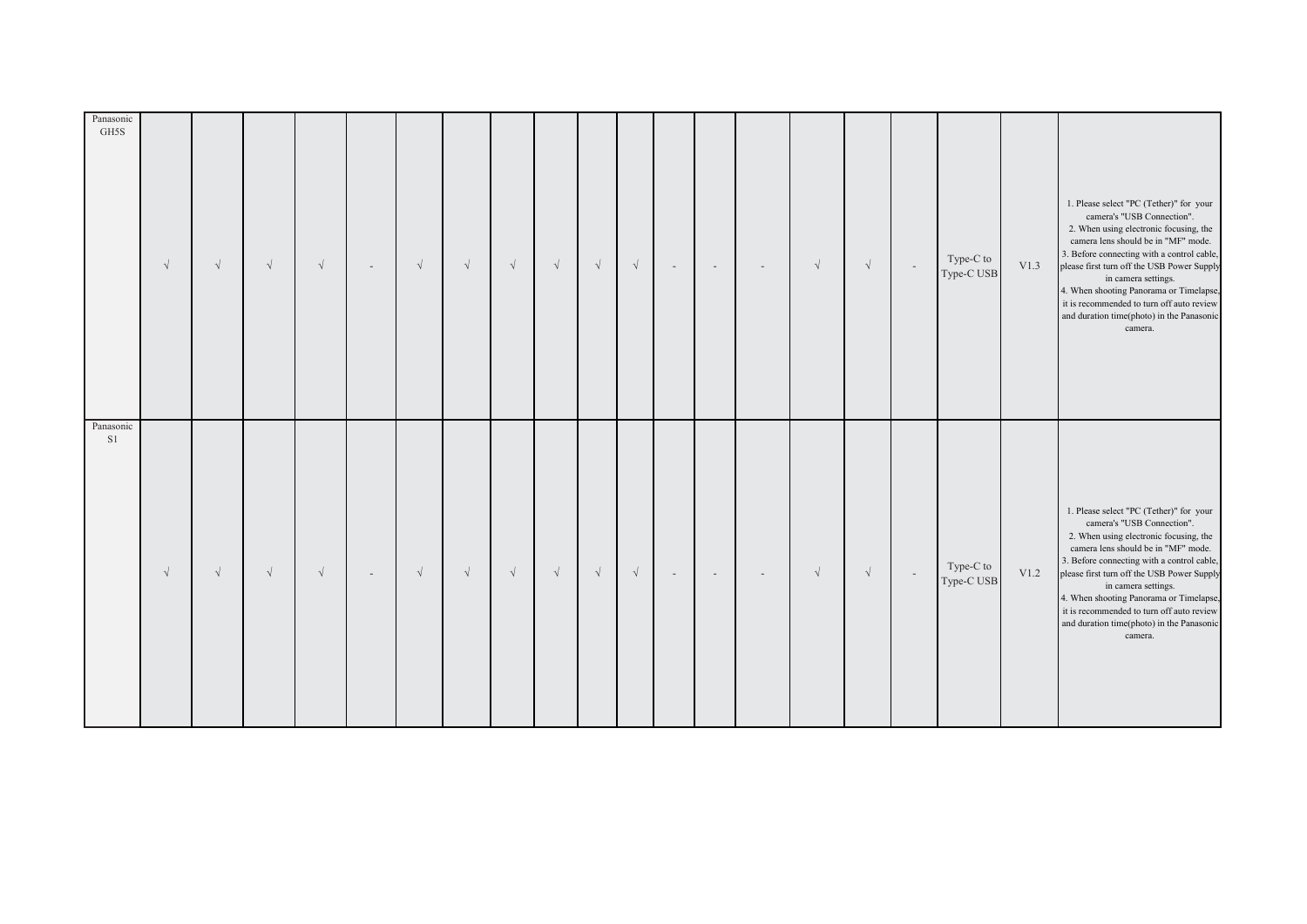| Panasonic<br>GH5S | $\sqrt{ }$ | $\sqrt{}$  | $\sqrt{ }$ | $\sqrt{ }$ | $\overline{\phantom{a}}$ | $\sqrt{ }$ | $\sqrt{ }$ | $\sqrt{}$  | $\sqrt{}$ | $\sqrt{}$ | $\sqrt{\phantom{a}}$ | $\sim$ | $\sim$ | $\sim$ | $\sqrt{}$  | $\sqrt{\phantom{a}}$ | $\overline{\phantom{a}}$ | Type-C to<br>Type-C USB | V1.3 | 1. Please select "PC (Tether)" for your<br>camera's "USB Connection".<br>2. When using electronic focusing, the<br>camera lens should be in "MF" mode.<br>3. Before connecting with a control cable,<br>please first turn off the USB Power Supply<br>in camera settings.<br>4. When shooting Panorama or Timelapse,<br>it is recommended to turn off auto review<br>and duration time(photo) in the Panasonic<br>camera. |
|-------------------|------------|------------|------------|------------|--------------------------|------------|------------|------------|-----------|-----------|----------------------|--------|--------|--------|------------|----------------------|--------------------------|-------------------------|------|---------------------------------------------------------------------------------------------------------------------------------------------------------------------------------------------------------------------------------------------------------------------------------------------------------------------------------------------------------------------------------------------------------------------------|
| Panasonic<br>S1   | $\sqrt{ }$ | $\sqrt{ }$ | $\sqrt{ }$ | $\sqrt{ }$ | $\sim$                   | $\sqrt{ }$ | $\sqrt{ }$ | $\sqrt{ }$ | $\sqrt{}$ | $\sqrt{}$ | $\sqrt{ }$           | $\sim$ | $\sim$ | $\sim$ | $\sqrt{ }$ | $\sqrt{ }$           | $\sim$                   | Type-C to<br>Type-C USB | V1.2 | 1. Please select "PC (Tether)" for your<br>camera's "USB Connection".<br>2. When using electronic focusing, the<br>camera lens should be in "MF" mode.<br>3. Before connecting with a control cable,<br>please first turn off the USB Power Supply<br>in camera settings.<br>4. When shooting Panorama or Timelapse,<br>it is recommended to turn off auto review<br>and duration time(photo) in the Panasonic<br>camera. |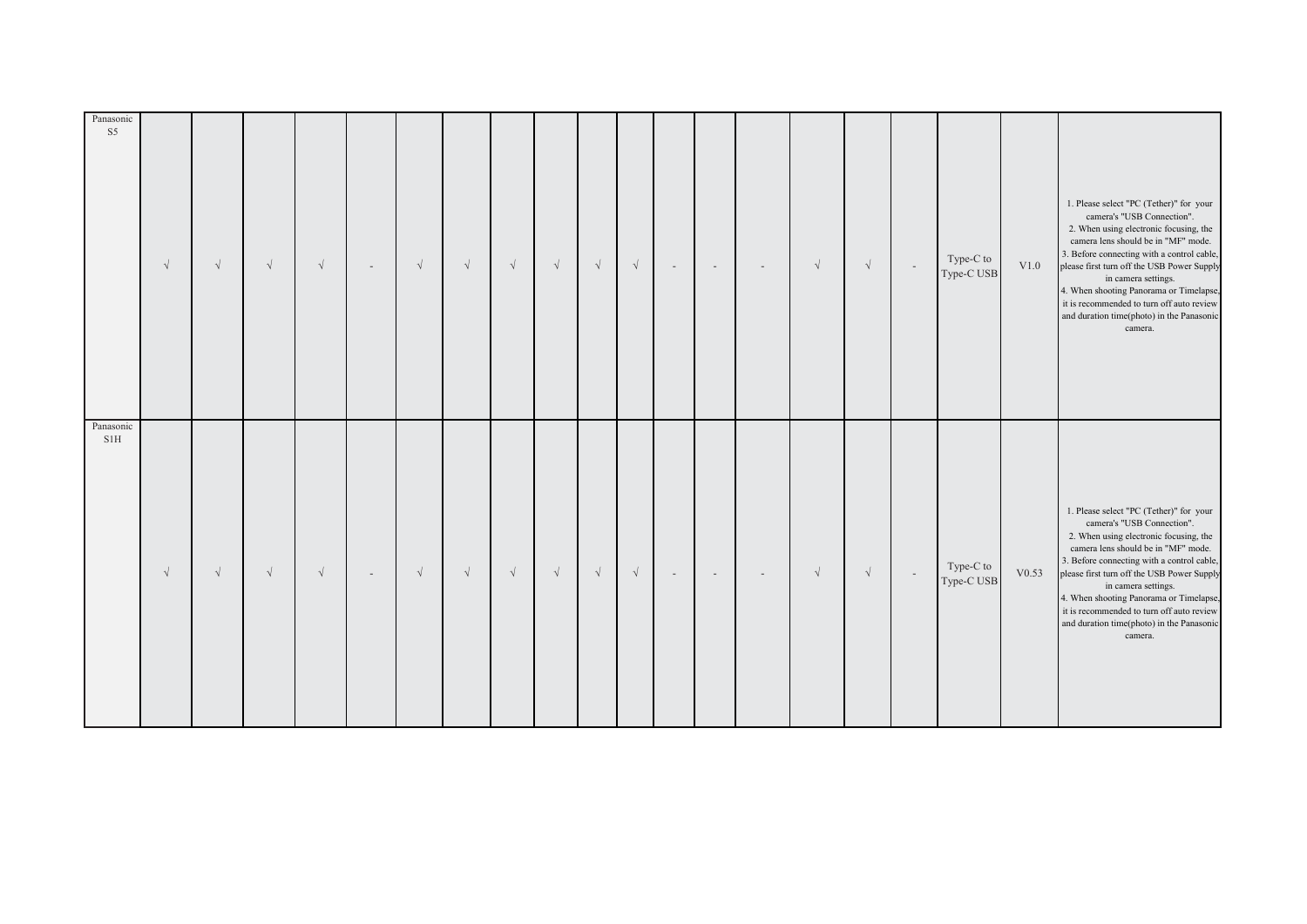| Panasonic<br>S <sub>5</sub> | $\sqrt{ }$ | $\sqrt{}$ | $\sqrt{}$  | $\sqrt{}$  | $\overline{\phantom{a}}$ | $\sqrt{}$ | $\sqrt{ }$ | $\sqrt{ }$ | $\sqrt{}$  | $\sqrt{ }$ | $\sqrt{ }$ | $\sim$ | $\overline{\phantom{a}}$ | $\sim$ | $\sqrt{ }$ | $\sqrt{\phantom{a}}$ | $\sim$ | Type-C to<br>Type-C USB | V1.0  | 1. Please select "PC (Tether)" for your<br>camera's "USB Connection".<br>2. When using electronic focusing, the<br>camera lens should be in "MF" mode.<br>3. Before connecting with a control cable,<br>please first turn off the USB Power Supply<br>in camera settings.<br>4. When shooting Panorama or Timelapse,<br>it is recommended to turn off auto review<br>and duration time(photo) in the Panasonic<br>camera. |
|-----------------------------|------------|-----------|------------|------------|--------------------------|-----------|------------|------------|------------|------------|------------|--------|--------------------------|--------|------------|----------------------|--------|-------------------------|-------|---------------------------------------------------------------------------------------------------------------------------------------------------------------------------------------------------------------------------------------------------------------------------------------------------------------------------------------------------------------------------------------------------------------------------|
| Panasonic<br>SIH            | $\sqrt{ }$ | $\sqrt{}$ | $\sqrt{ }$ | $\sqrt{ }$ | $\sim$                   | $\sqrt{}$ | $\sqrt{ }$ | $\sqrt{ }$ | $\sqrt{ }$ | $\sqrt{ }$ | $\sqrt{ }$ | $\sim$ | $\sim$                   | $\sim$ | $\sqrt{ }$ | $\sqrt{ }$           | $\sim$ | Type-C to<br>Type-C USB | V0.53 | 1. Please select "PC (Tether)" for your<br>camera's "USB Connection".<br>2. When using electronic focusing, the<br>camera lens should be in "MF" mode.<br>3. Before connecting with a control cable,<br>please first turn off the USB Power Supply<br>in camera settings.<br>4. When shooting Panorama or Timelapse,<br>it is recommended to turn off auto review<br>and duration time(photo) in the Panasonic<br>camera. |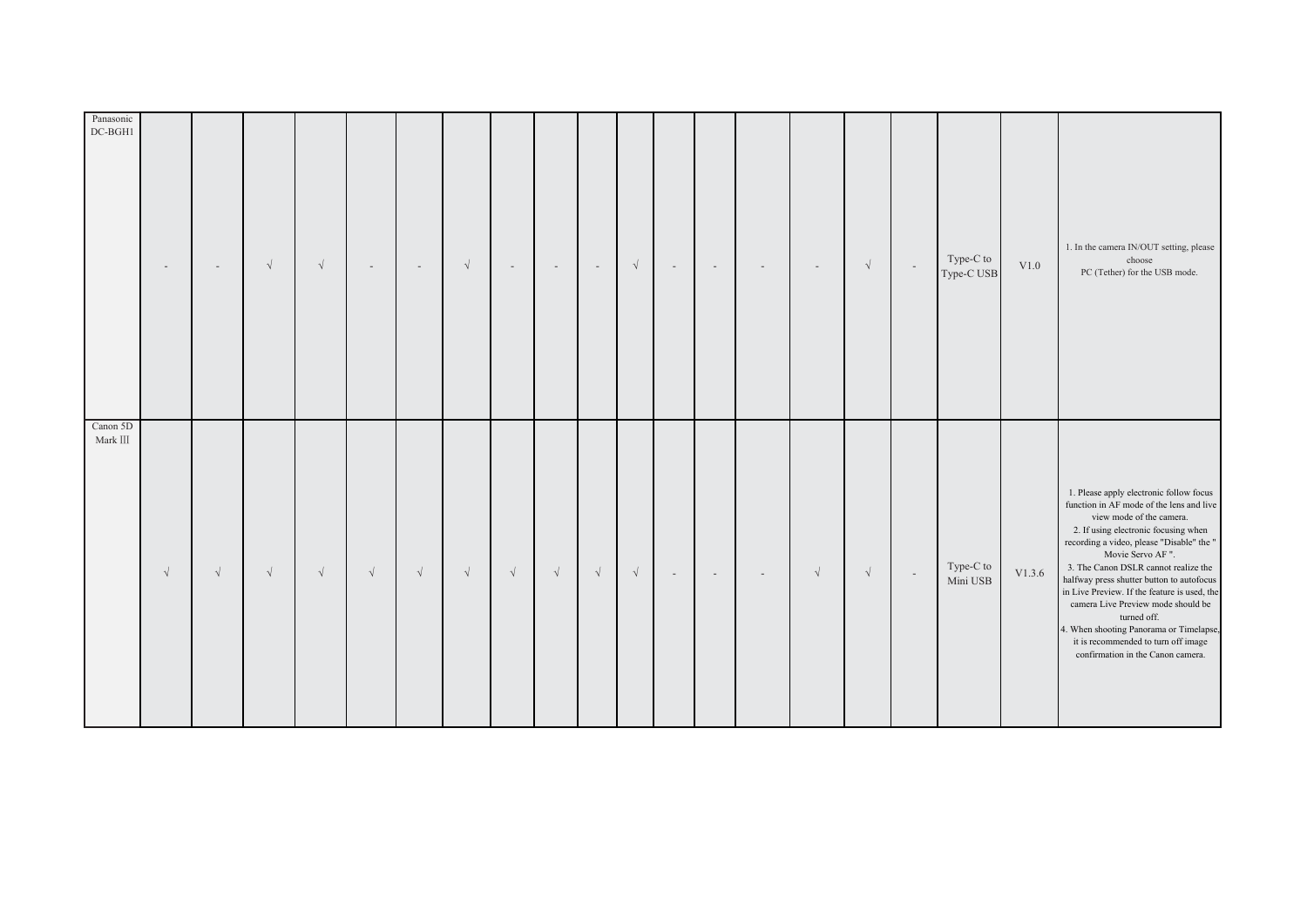| Panasonic<br>DC-BGH1       |           | $\overline{\phantom{a}}$ | $\sqrt{}$  | $\sqrt{ }$ |           | $\sim$    | $\sqrt{ }$ | $\overline{\phantom{a}}$ | $\sim$    | $\sim$    | $\sqrt{\phantom{a}}$ | $\overline{\phantom{a}}$ | $\sim$ | $\sim$ | $\sim$     | $\sqrt{}$ | $\sim$ | Type-C to<br>Type-C USB | V1.0   | 1. In the camera IN/OUT setting, please<br>choose<br>PC (Tether) for the USB mode.                                                                                                                                                                                                                                                                                                                                                                                                                                                        |
|----------------------------|-----------|--------------------------|------------|------------|-----------|-----------|------------|--------------------------|-----------|-----------|----------------------|--------------------------|--------|--------|------------|-----------|--------|-------------------------|--------|-------------------------------------------------------------------------------------------------------------------------------------------------------------------------------------------------------------------------------------------------------------------------------------------------------------------------------------------------------------------------------------------------------------------------------------------------------------------------------------------------------------------------------------------|
| Canon 5D<br>Mark $\rm III$ | $\sqrt{}$ | $\sqrt{}$                | $\sqrt{ }$ | $\sqrt{ }$ | $\sqrt{}$ | $\sqrt{}$ | $\sqrt{ }$ | $\sqrt{}$                | $\sqrt{}$ | $\sqrt{}$ | $\sqrt{ }$           | $\sim$                   | $\sim$ | $\sim$ | $\sqrt{ }$ | $\sqrt{}$ | $\sim$ | Type-C to<br>Mini USB   | V1.3.6 | 1. Please apply electronic follow focus<br>function in AF mode of the lens and live<br>view mode of the camera.<br>2. If using electronic focusing when<br>recording a video, please "Disable" the "<br>Movie Servo AF".<br>3. The Canon DSLR cannot realize the<br>halfway press shutter button to autofocus<br>in Live Preview. If the feature is used, the<br>camera Live Preview mode should be<br>turned off.<br>4. When shooting Panorama or Timelapse,<br>it is recommended to turn off image<br>confirmation in the Canon camera. |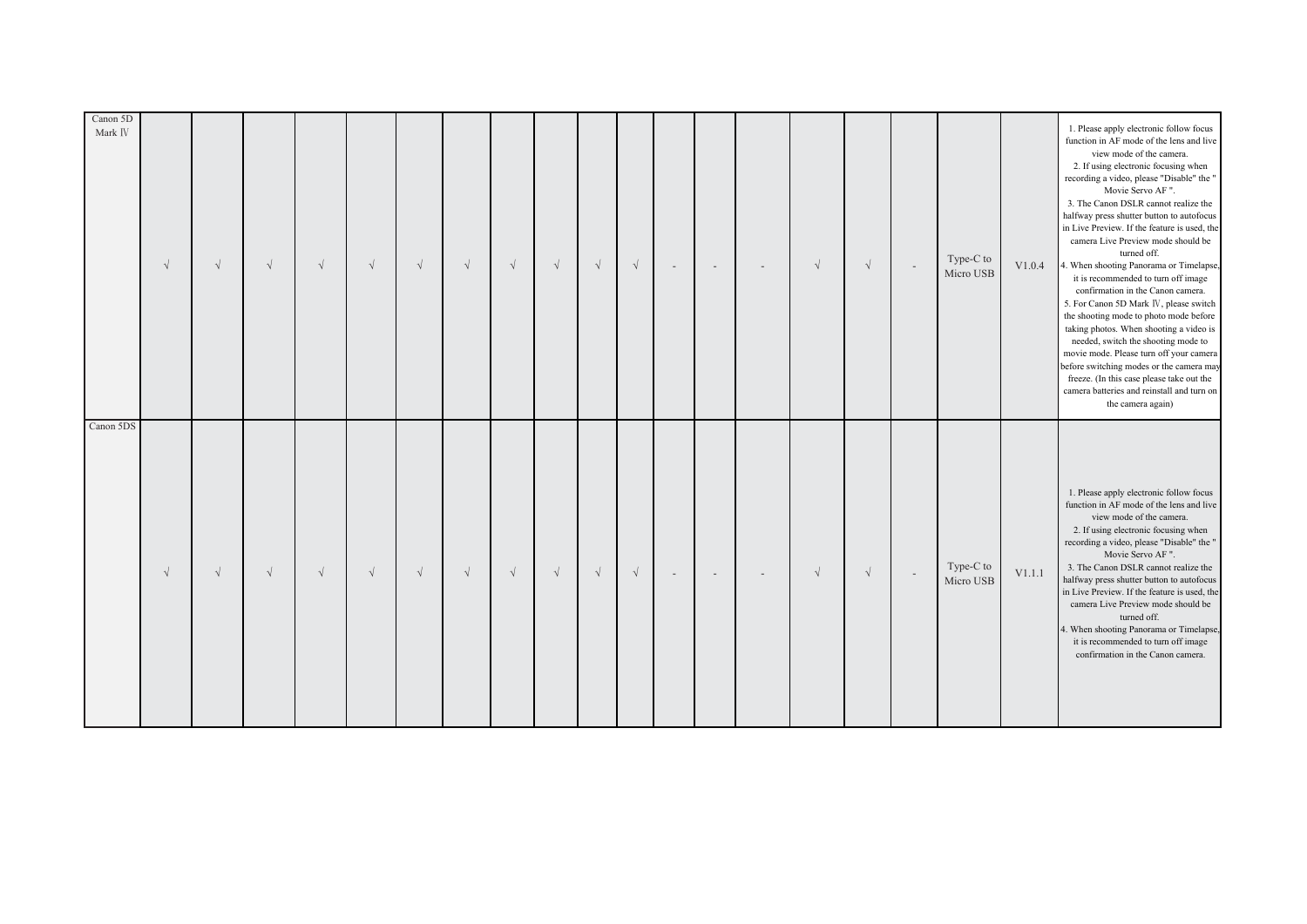| Canon 5D<br>Mark IV | $\sqrt{ }$ | $\sqrt{ }$ | $\sqrt{ }$ | $\sqrt{ }$ | $\sqrt{}$  | $\sqrt{ }$ | $\sqrt{ }$ | $\sqrt{}$ | $\sqrt{ }$ | $\sqrt{}$  | $\sqrt{}$  | $\sim$ | $\overline{\phantom{a}}$ | $\overline{\phantom{a}}$ | $\sqrt{ }$ | $\sqrt{ }$ | $\sim$ | Type-C to<br>Micro USB | V1.0.4 | 1. Please apply electronic follow focus<br>function in AF mode of the lens and live<br>view mode of the camera.<br>2. If using electronic focusing when<br>recording a video, please "Disable" the "<br>Movie Servo AF".<br>3. The Canon DSLR cannot realize the<br>halfway press shutter button to autofocus<br>in Live Preview. If the feature is used, the<br>camera Live Preview mode should be<br>turned off.<br>4. When shooting Panorama or Timelapse,<br>it is recommended to turn off image<br>confirmation in the Canon camera.<br>5. For Canon 5D Mark IV, please switch<br>the shooting mode to photo mode before<br>taking photos. When shooting a video is<br>needed, switch the shooting mode to<br>movie mode. Please turn off your camera<br>before switching modes or the camera may<br>freeze. (In this case please take out the<br>camera batteries and reinstall and turn on<br>the camera again) |
|---------------------|------------|------------|------------|------------|------------|------------|------------|-----------|------------|------------|------------|--------|--------------------------|--------------------------|------------|------------|--------|------------------------|--------|------------------------------------------------------------------------------------------------------------------------------------------------------------------------------------------------------------------------------------------------------------------------------------------------------------------------------------------------------------------------------------------------------------------------------------------------------------------------------------------------------------------------------------------------------------------------------------------------------------------------------------------------------------------------------------------------------------------------------------------------------------------------------------------------------------------------------------------------------------------------------------------------------------------------|
| Canon 5DS           | $\sqrt{ }$ | $\sqrt{ }$ | $\sqrt{ }$ | $\sqrt{ }$ | $\sqrt{ }$ | $\sqrt{}$  | $\sqrt{ }$ | $\sqrt{}$ | $\sqrt{ }$ | $\sqrt{ }$ | $\sqrt{ }$ | $\sim$ | $\sim$                   | $\overline{\phantom{a}}$ | $\sqrt{ }$ | $\sqrt{ }$ | $\sim$ | Type-C to<br>Micro USB | V1.1.1 | 1. Please apply electronic follow focus<br>function in AF mode of the lens and live<br>view mode of the camera.<br>2. If using electronic focusing when<br>recording a video, please "Disable" the "<br>Movie Servo AF ".<br>3. The Canon DSLR cannot realize the<br>halfway press shutter button to autofocus<br>in Live Preview. If the feature is used, the<br>camera Live Preview mode should be<br>turned off.<br>4. When shooting Panorama or Timelapse,<br>it is recommended to turn off image<br>confirmation in the Canon camera.                                                                                                                                                                                                                                                                                                                                                                             |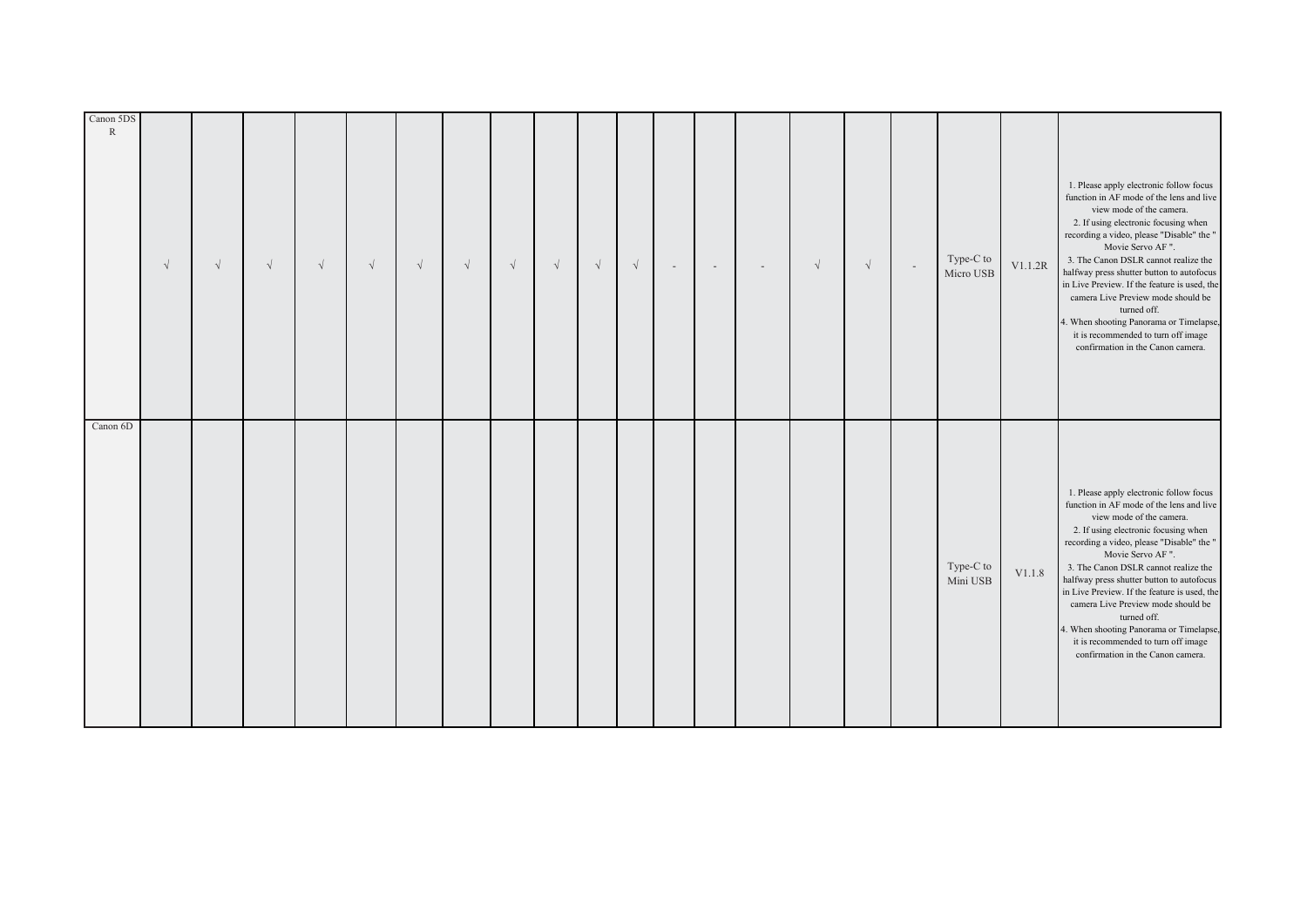| Canon 5DS<br>$\mathbb{R}$ | $\sqrt{ }$ | $\sqrt{}$ | $\sqrt{ }$ | $\sqrt{ }$ | $\sqrt{}$ | $\sqrt{}$ | $\sqrt{}$ | $\sqrt{}$ | $\sqrt{ }$ | $\sqrt{}$ | $\sqrt{ }$ | $\sim$ | $\overline{\phantom{a}}$ | $\overline{\phantom{a}}$ | $\sqrt{ }$ | $\sqrt{ }$ | $\sim$ | Type-C to<br>Micro USB | V1.1.2R | 1. Please apply electronic follow focus<br>function in AF mode of the lens and live<br>view mode of the camera.<br>2. If using electronic focusing when<br>recording a video, please "Disable" the "<br>Movie Servo AF".<br>3. The Canon DSLR cannot realize the<br>halfway press shutter button to autofocus<br>in Live Preview. If the feature is used, the<br>camera Live Preview mode should be<br>turned off.<br>4. When shooting Panorama or Timelapse,<br>it is recommended to turn off image<br>confirmation in the Canon camera. |
|---------------------------|------------|-----------|------------|------------|-----------|-----------|-----------|-----------|------------|-----------|------------|--------|--------------------------|--------------------------|------------|------------|--------|------------------------|---------|-------------------------------------------------------------------------------------------------------------------------------------------------------------------------------------------------------------------------------------------------------------------------------------------------------------------------------------------------------------------------------------------------------------------------------------------------------------------------------------------------------------------------------------------|
| Canon 6D                  |            |           |            |            |           |           |           |           |            |           |            |        |                          |                          |            |            |        | Type-C to<br>Mini USB  | V1.1.8  | 1. Please apply electronic follow focus<br>function in AF mode of the lens and live<br>view mode of the camera.<br>2. If using electronic focusing when<br>recording a video, please "Disable" the "<br>Movie Servo AF".<br>3. The Canon DSLR cannot realize the<br>halfway press shutter button to autofocus<br>in Live Preview. If the feature is used, the<br>camera Live Preview mode should be<br>turned off.<br>4. When shooting Panorama or Timelapse,<br>it is recommended to turn off image<br>confirmation in the Canon camera. |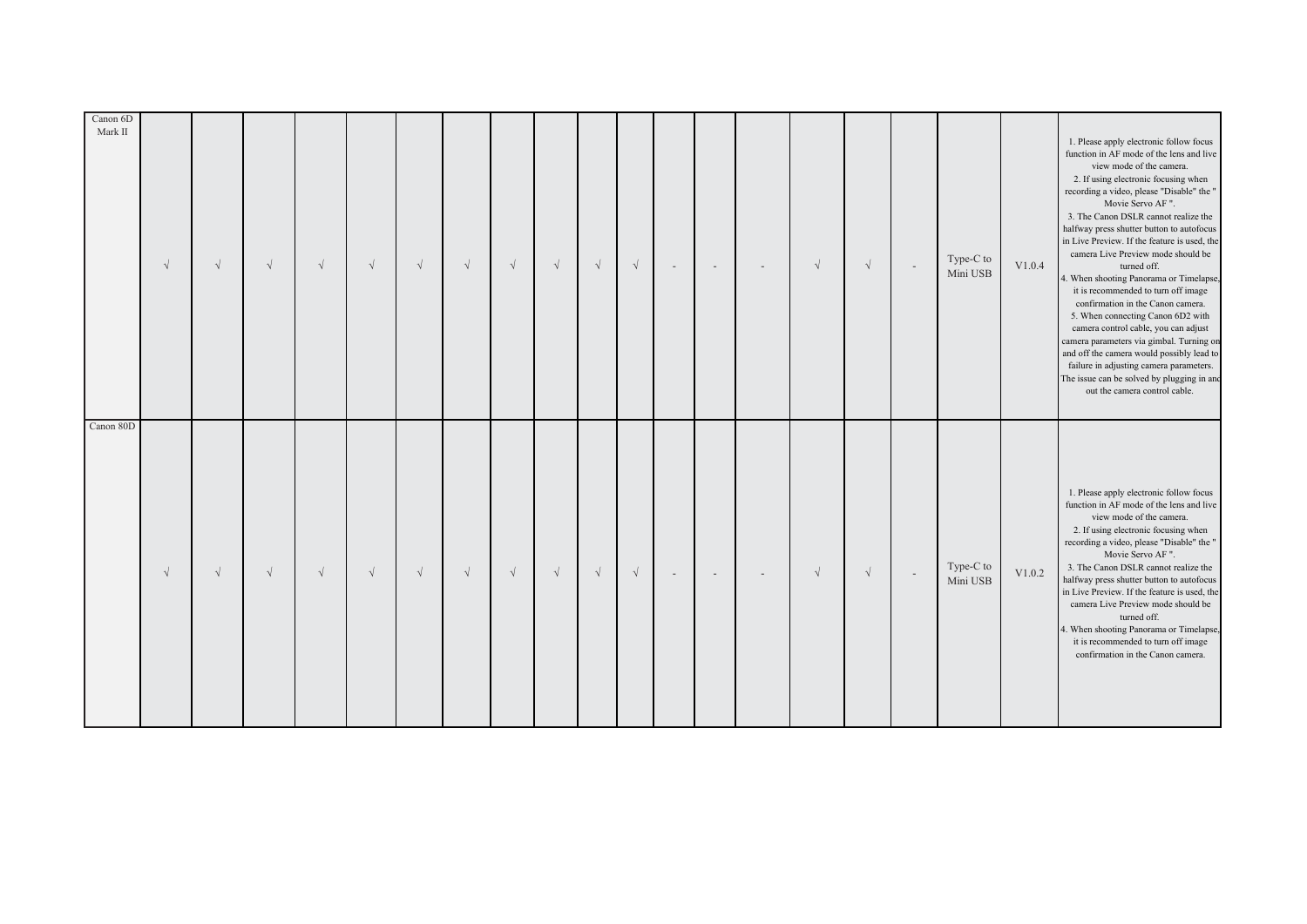| Canon 80D | $\sqrt{ }$ | $\sqrt{ }$ | $\sqrt{ }$ | $\sqrt{ }$ | $\sqrt{}$ | $\sqrt{ }$           | $\sqrt{ }$ | $\sqrt{}$ | $\sqrt{}$ | $\sqrt{}$ | $\sqrt{}$ | $\sim$ | $\overline{\phantom{a}}$ | $\overline{\phantom{a}}$ | $\sqrt{ }$ | $\sqrt{}$  | $\sim$                   | Type-C to<br>Mini USB | V1.0.4 | 1. Please apply electronic follow focus<br>function in AF mode of the lens and live<br>view mode of the camera.<br>2. If using electronic focusing when<br>recording a video, please "Disable" the "<br>Movie Servo AF".<br>3. The Canon DSLR cannot realize the<br>halfway press shutter button to autofocus<br>in Live Preview. If the feature is used, the<br>camera Live Preview mode should be<br>turned off.<br>4. When shooting Panorama or Timelapse,<br>it is recommended to turn off image<br>confirmation in the Canon camera.<br>5. When connecting Canon 6D2 with<br>camera control cable, you can adjust<br>camera parameters via gimbal. Turning on<br>and off the camera would possibly lead to<br>failure in adjusting camera parameters.<br>The issue can be solved by plugging in and<br>out the camera control cable. |
|-----------|------------|------------|------------|------------|-----------|----------------------|------------|-----------|-----------|-----------|-----------|--------|--------------------------|--------------------------|------------|------------|--------------------------|-----------------------|--------|-------------------------------------------------------------------------------------------------------------------------------------------------------------------------------------------------------------------------------------------------------------------------------------------------------------------------------------------------------------------------------------------------------------------------------------------------------------------------------------------------------------------------------------------------------------------------------------------------------------------------------------------------------------------------------------------------------------------------------------------------------------------------------------------------------------------------------------------|
|           | $\sqrt{ }$ | $\sqrt{}$  | $\sqrt{}$  | $\sqrt{ }$ | $\sqrt{}$ | $\sqrt{\phantom{a}}$ | $\sqrt{ }$ | $\sqrt{}$ | $\sqrt{}$ | $\sqrt{}$ | $\sqrt{}$ | $\sim$ | $\sim$                   | $\sim$                   | $\sqrt{ }$ | $\sqrt{ }$ | $\overline{\phantom{a}}$ | Type-C to<br>Mini USB | V1.0.2 | 1. Please apply electronic follow focus<br>function in AF mode of the lens and live<br>view mode of the camera.<br>2. If using electronic focusing when<br>recording a video, please "Disable" the "<br>Movie Servo AF".<br>3. The Canon DSLR cannot realize the<br>halfway press shutter button to autofocus<br>in Live Preview. If the feature is used, the<br>camera Live Preview mode should be<br>turned off.<br>4. When shooting Panorama or Timelapse,<br>it is recommended to turn off image<br>confirmation in the Canon camera.                                                                                                                                                                                                                                                                                                 |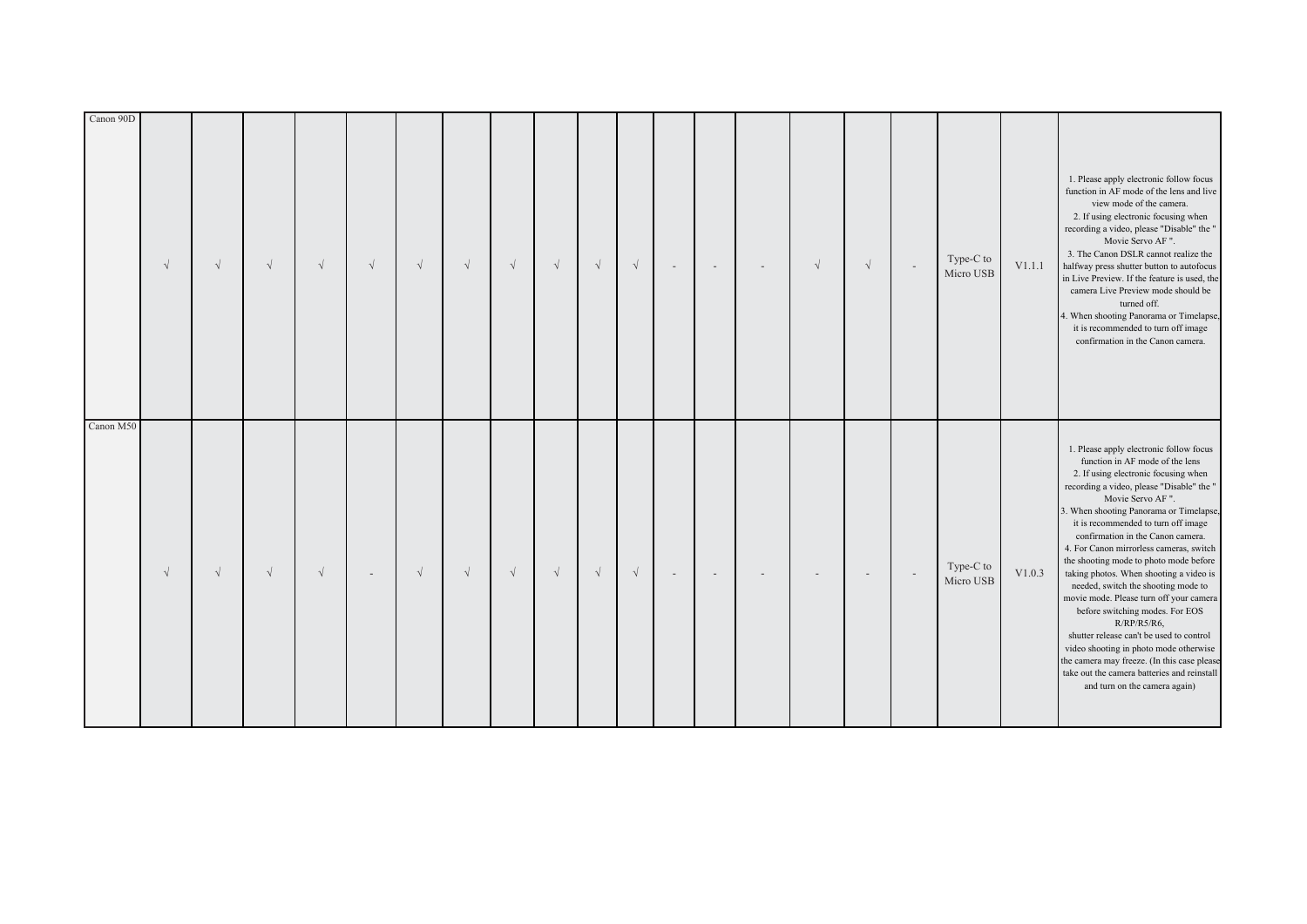| Canon 90D | $\sqrt{ }$ | $\sqrt{ }$ | $\sqrt{ }$ | $\sqrt{ }$ | $\sqrt{ }$ | $\sqrt{ }$ | $\sqrt{ }$ | $\sqrt{}$ | $\sqrt{ }$ | $\sqrt{}$ | $\sqrt{}$            | $\overline{\phantom{a}}$ | $\overline{a}$ | $\overline{\phantom{a}}$ | $\sqrt{}$      | $\sqrt{ }$     |        | Type-C to<br>Micro USB | V1.1.1 | 1. Please apply electronic follow focus<br>function in AF mode of the lens and live<br>view mode of the camera.<br>2. If using electronic focusing when<br>recording a video, please "Disable" the "<br>Movie Servo AF".<br>3. The Canon DSLR cannot realize the<br>halfway press shutter button to autofocus<br>in Live Preview. If the feature is used, the<br>camera Live Preview mode should be<br>turned off.<br>4. When shooting Panorama or Timelapse,<br>it is recommended to turn off image<br>confirmation in the Canon camera.                                                                                                                                                                                                                                                              |
|-----------|------------|------------|------------|------------|------------|------------|------------|-----------|------------|-----------|----------------------|--------------------------|----------------|--------------------------|----------------|----------------|--------|------------------------|--------|--------------------------------------------------------------------------------------------------------------------------------------------------------------------------------------------------------------------------------------------------------------------------------------------------------------------------------------------------------------------------------------------------------------------------------------------------------------------------------------------------------------------------------------------------------------------------------------------------------------------------------------------------------------------------------------------------------------------------------------------------------------------------------------------------------|
| Canon M50 | $\sqrt{ }$ | $\sqrt{}$  | $\sqrt{ }$ | $\sqrt{ }$ |            | $\sqrt{ }$ | $\sqrt{ }$ | $\sqrt{}$ | $\sqrt{ }$ | $\sqrt{}$ | $\sqrt{\phantom{a}}$ | $\sim$                   | $\sim$         |                          | $\overline{a}$ | $\overline{a}$ | $\sim$ | Type-C to<br>Micro USB | V1.0.3 | 1. Please apply electronic follow focus<br>function in AF mode of the lens<br>2. If using electronic focusing when<br>recording a video, please "Disable" the "<br>Movie Servo AF".<br>3. When shooting Panorama or Timelapse,<br>it is recommended to turn off image<br>confirmation in the Canon camera.<br>4. For Canon mirrorless cameras, switch<br>the shooting mode to photo mode before<br>taking photos. When shooting a video is<br>needed, switch the shooting mode to<br>movie mode. Please turn off your camera<br>before switching modes. For EOS<br>$R/RP/R5/R6$ ,<br>shutter release can't be used to control<br>video shooting in photo mode otherwise<br>the camera may freeze. (In this case please<br>take out the camera batteries and reinstall<br>and turn on the camera again) |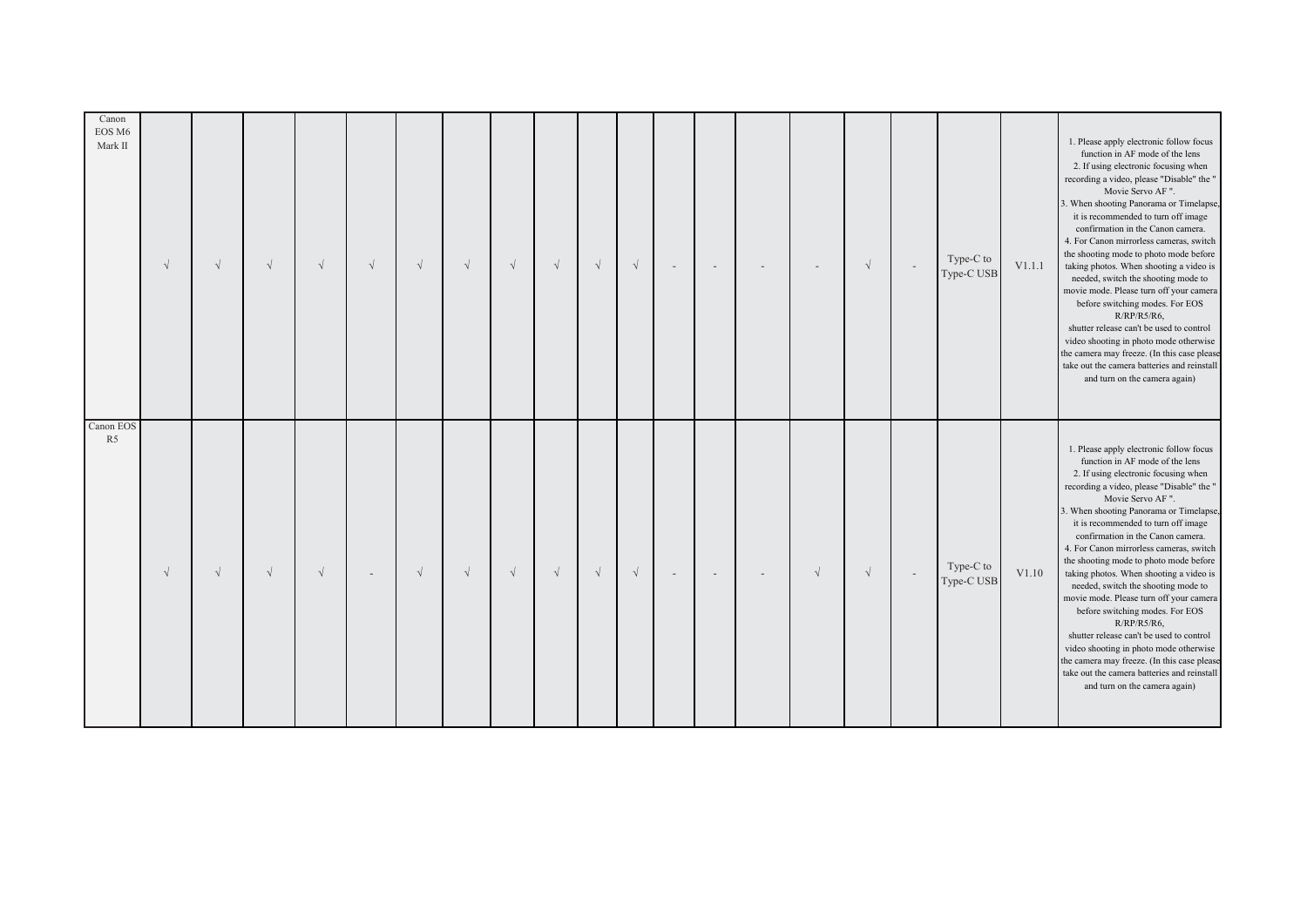| Canon EOS<br>R <sub>5</sub>                                                                                                                                                                                                                                                                                                                                                                                                                                                                                                                                                                                                                                                                                                                                                                             | Canon<br>EOS M6<br>Mark II                                                                                                                                                                                                                                                                                                                                                                                                                                                                                                                                                                                                                                                                                                                                                                           |
|---------------------------------------------------------------------------------------------------------------------------------------------------------------------------------------------------------------------------------------------------------------------------------------------------------------------------------------------------------------------------------------------------------------------------------------------------------------------------------------------------------------------------------------------------------------------------------------------------------------------------------------------------------------------------------------------------------------------------------------------------------------------------------------------------------|------------------------------------------------------------------------------------------------------------------------------------------------------------------------------------------------------------------------------------------------------------------------------------------------------------------------------------------------------------------------------------------------------------------------------------------------------------------------------------------------------------------------------------------------------------------------------------------------------------------------------------------------------------------------------------------------------------------------------------------------------------------------------------------------------|
| $\sqrt{ }$                                                                                                                                                                                                                                                                                                                                                                                                                                                                                                                                                                                                                                                                                                                                                                                              | $\sqrt{ }$                                                                                                                                                                                                                                                                                                                                                                                                                                                                                                                                                                                                                                                                                                                                                                                           |
| $\sqrt{ }$                                                                                                                                                                                                                                                                                                                                                                                                                                                                                                                                                                                                                                                                                                                                                                                              | $\sqrt{ }$                                                                                                                                                                                                                                                                                                                                                                                                                                                                                                                                                                                                                                                                                                                                                                                           |
| $\sqrt{ }$                                                                                                                                                                                                                                                                                                                                                                                                                                                                                                                                                                                                                                                                                                                                                                                              | $\sqrt{ }$                                                                                                                                                                                                                                                                                                                                                                                                                                                                                                                                                                                                                                                                                                                                                                                           |
| $\sqrt{ }$                                                                                                                                                                                                                                                                                                                                                                                                                                                                                                                                                                                                                                                                                                                                                                                              | $\sqrt{ }$                                                                                                                                                                                                                                                                                                                                                                                                                                                                                                                                                                                                                                                                                                                                                                                           |
| $\sim$                                                                                                                                                                                                                                                                                                                                                                                                                                                                                                                                                                                                                                                                                                                                                                                                  | $\sqrt{}$                                                                                                                                                                                                                                                                                                                                                                                                                                                                                                                                                                                                                                                                                                                                                                                            |
| $\sqrt{}$                                                                                                                                                                                                                                                                                                                                                                                                                                                                                                                                                                                                                                                                                                                                                                                               | $\sqrt{}$                                                                                                                                                                                                                                                                                                                                                                                                                                                                                                                                                                                                                                                                                                                                                                                            |
| $\sqrt{ }$                                                                                                                                                                                                                                                                                                                                                                                                                                                                                                                                                                                                                                                                                                                                                                                              | $\sqrt{ }$                                                                                                                                                                                                                                                                                                                                                                                                                                                                                                                                                                                                                                                                                                                                                                                           |
| $\sqrt{ }$                                                                                                                                                                                                                                                                                                                                                                                                                                                                                                                                                                                                                                                                                                                                                                                              | $\sqrt{ }$                                                                                                                                                                                                                                                                                                                                                                                                                                                                                                                                                                                                                                                                                                                                                                                           |
| $\sqrt{ }$                                                                                                                                                                                                                                                                                                                                                                                                                                                                                                                                                                                                                                                                                                                                                                                              | $\sqrt{ }$                                                                                                                                                                                                                                                                                                                                                                                                                                                                                                                                                                                                                                                                                                                                                                                           |
| $\sqrt{ }$                                                                                                                                                                                                                                                                                                                                                                                                                                                                                                                                                                                                                                                                                                                                                                                              | $\sqrt{ }$                                                                                                                                                                                                                                                                                                                                                                                                                                                                                                                                                                                                                                                                                                                                                                                           |
| $\sqrt{}$                                                                                                                                                                                                                                                                                                                                                                                                                                                                                                                                                                                                                                                                                                                                                                                               | $\sqrt{}$                                                                                                                                                                                                                                                                                                                                                                                                                                                                                                                                                                                                                                                                                                                                                                                            |
| $\overline{\phantom{a}}$                                                                                                                                                                                                                                                                                                                                                                                                                                                                                                                                                                                                                                                                                                                                                                                |                                                                                                                                                                                                                                                                                                                                                                                                                                                                                                                                                                                                                                                                                                                                                                                                      |
| $\overline{\phantom{a}}$                                                                                                                                                                                                                                                                                                                                                                                                                                                                                                                                                                                                                                                                                                                                                                                | $\overline{\phantom{a}}$                                                                                                                                                                                                                                                                                                                                                                                                                                                                                                                                                                                                                                                                                                                                                                             |
| $\overline{\phantom{a}}$                                                                                                                                                                                                                                                                                                                                                                                                                                                                                                                                                                                                                                                                                                                                                                                |                                                                                                                                                                                                                                                                                                                                                                                                                                                                                                                                                                                                                                                                                                                                                                                                      |
| $\sqrt{ }$                                                                                                                                                                                                                                                                                                                                                                                                                                                                                                                                                                                                                                                                                                                                                                                              |                                                                                                                                                                                                                                                                                                                                                                                                                                                                                                                                                                                                                                                                                                                                                                                                      |
| $\sqrt{ }$                                                                                                                                                                                                                                                                                                                                                                                                                                                                                                                                                                                                                                                                                                                                                                                              | $\sqrt{}$                                                                                                                                                                                                                                                                                                                                                                                                                                                                                                                                                                                                                                                                                                                                                                                            |
| $\sim$                                                                                                                                                                                                                                                                                                                                                                                                                                                                                                                                                                                                                                                                                                                                                                                                  | $\sim$                                                                                                                                                                                                                                                                                                                                                                                                                                                                                                                                                                                                                                                                                                                                                                                               |
| Type-C to<br>Type-C USB                                                                                                                                                                                                                                                                                                                                                                                                                                                                                                                                                                                                                                                                                                                                                                                 | Type-C to<br>Type-C USB                                                                                                                                                                                                                                                                                                                                                                                                                                                                                                                                                                                                                                                                                                                                                                              |
| V1.10                                                                                                                                                                                                                                                                                                                                                                                                                                                                                                                                                                                                                                                                                                                                                                                                   | V1.1.1                                                                                                                                                                                                                                                                                                                                                                                                                                                                                                                                                                                                                                                                                                                                                                                               |
| 1. Please apply electronic follow focus<br>function in AF mode of the lens<br>2. If using electronic focusing when<br>recording a video, please "Disable" the "<br>Movie Servo AF ".<br>3. When shooting Panorama or Timelapse,<br>it is recommended to turn off image<br>confirmation in the Canon camera.<br>4. For Canon mirrorless cameras, switch<br>the shooting mode to photo mode before<br>taking photos. When shooting a video is<br>needed, switch the shooting mode to<br>movie mode. Please turn off your camera<br>before switching modes. For EOS<br>$R/RP/R5/R6$ ,<br>shutter release can't be used to control<br>video shooting in photo mode otherwise<br>the camera may freeze. (In this case please<br>take out the camera batteries and reinstall<br>and turn on the camera again) | 1. Please apply electronic follow focus<br>function in AF mode of the lens<br>2. If using electronic focusing when<br>recording a video, please "Disable" the "<br>Movie Servo AF ".<br>3. When shooting Panorama or Timelapse,<br>it is recommended to turn off image<br>confirmation in the Canon camera.<br>4. For Canon mirrorless cameras, switch<br>the shooting mode to photo mode before<br>taking photos. When shooting a video is<br>needed, switch the shooting mode to<br>movie mode. Please turn off your camera<br>before switching modes. For EOS<br>R/RP/R5/R6.<br>shutter release can't be used to control<br>video shooting in photo mode otherwise<br>the camera may freeze. (In this case please<br>take out the camera batteries and reinstall<br>and turn on the camera again) |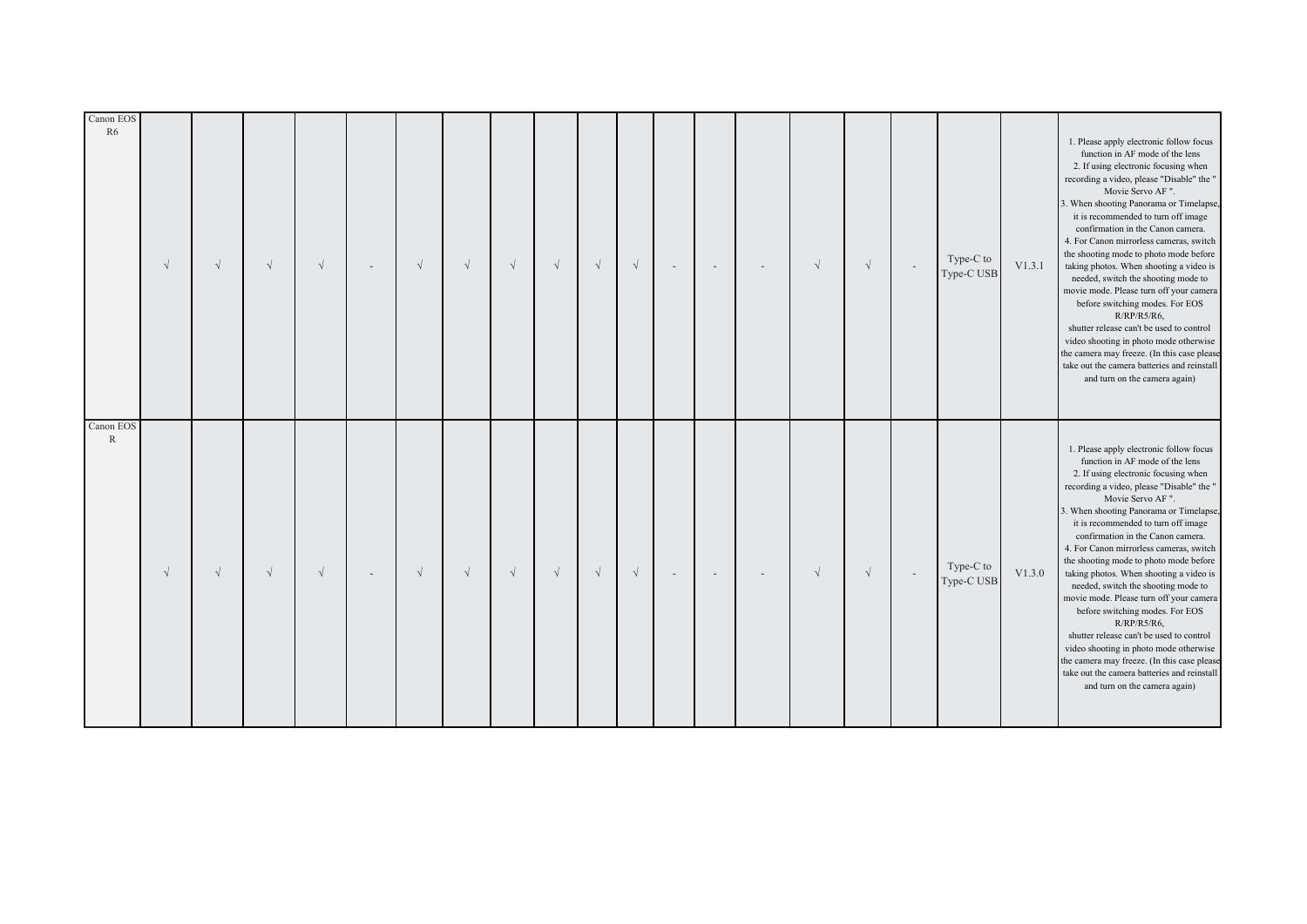| Canon EOS<br>$\mathbb{R}$                                                                                                                                                                                                                                                                                                                                                                                                                                                                                                                                                                                                                                                                                                                                                                               | Canon EOS<br>R <sub>6</sub>                                                                                                                                                                                                                                                                                                                                                                                                                                                                                                                                                                                                                                                                                                                                                                             |
|---------------------------------------------------------------------------------------------------------------------------------------------------------------------------------------------------------------------------------------------------------------------------------------------------------------------------------------------------------------------------------------------------------------------------------------------------------------------------------------------------------------------------------------------------------------------------------------------------------------------------------------------------------------------------------------------------------------------------------------------------------------------------------------------------------|---------------------------------------------------------------------------------------------------------------------------------------------------------------------------------------------------------------------------------------------------------------------------------------------------------------------------------------------------------------------------------------------------------------------------------------------------------------------------------------------------------------------------------------------------------------------------------------------------------------------------------------------------------------------------------------------------------------------------------------------------------------------------------------------------------|
| $\sqrt{ }$                                                                                                                                                                                                                                                                                                                                                                                                                                                                                                                                                                                                                                                                                                                                                                                              | $\sqrt{ }$                                                                                                                                                                                                                                                                                                                                                                                                                                                                                                                                                                                                                                                                                                                                                                                              |
| $\sqrt{ }$                                                                                                                                                                                                                                                                                                                                                                                                                                                                                                                                                                                                                                                                                                                                                                                              | $\sqrt{}$                                                                                                                                                                                                                                                                                                                                                                                                                                                                                                                                                                                                                                                                                                                                                                                               |
| $\sqrt{ }$                                                                                                                                                                                                                                                                                                                                                                                                                                                                                                                                                                                                                                                                                                                                                                                              | $\sqrt{ }$                                                                                                                                                                                                                                                                                                                                                                                                                                                                                                                                                                                                                                                                                                                                                                                              |
| $\sqrt{ }$                                                                                                                                                                                                                                                                                                                                                                                                                                                                                                                                                                                                                                                                                                                                                                                              | $\sqrt{ }$                                                                                                                                                                                                                                                                                                                                                                                                                                                                                                                                                                                                                                                                                                                                                                                              |
|                                                                                                                                                                                                                                                                                                                                                                                                                                                                                                                                                                                                                                                                                                                                                                                                         | $\sim$                                                                                                                                                                                                                                                                                                                                                                                                                                                                                                                                                                                                                                                                                                                                                                                                  |
| $\sqrt{}$                                                                                                                                                                                                                                                                                                                                                                                                                                                                                                                                                                                                                                                                                                                                                                                               | $\sqrt{ }$                                                                                                                                                                                                                                                                                                                                                                                                                                                                                                                                                                                                                                                                                                                                                                                              |
| $\sqrt{ }$                                                                                                                                                                                                                                                                                                                                                                                                                                                                                                                                                                                                                                                                                                                                                                                              | $\sqrt{ }$                                                                                                                                                                                                                                                                                                                                                                                                                                                                                                                                                                                                                                                                                                                                                                                              |
| $\sqrt{ }$                                                                                                                                                                                                                                                                                                                                                                                                                                                                                                                                                                                                                                                                                                                                                                                              | $\sqrt{ }$                                                                                                                                                                                                                                                                                                                                                                                                                                                                                                                                                                                                                                                                                                                                                                                              |
| $\sqrt{ }$                                                                                                                                                                                                                                                                                                                                                                                                                                                                                                                                                                                                                                                                                                                                                                                              | $\sqrt{ }$                                                                                                                                                                                                                                                                                                                                                                                                                                                                                                                                                                                                                                                                                                                                                                                              |
| $\sqrt{}$                                                                                                                                                                                                                                                                                                                                                                                                                                                                                                                                                                                                                                                                                                                                                                                               | $\sqrt{}$                                                                                                                                                                                                                                                                                                                                                                                                                                                                                                                                                                                                                                                                                                                                                                                               |
| $\sqrt{\phantom{a}}$                                                                                                                                                                                                                                                                                                                                                                                                                                                                                                                                                                                                                                                                                                                                                                                    | $\sqrt{\phantom{a}}$                                                                                                                                                                                                                                                                                                                                                                                                                                                                                                                                                                                                                                                                                                                                                                                    |
| $\sim$                                                                                                                                                                                                                                                                                                                                                                                                                                                                                                                                                                                                                                                                                                                                                                                                  | $\overline{\phantom{a}}$                                                                                                                                                                                                                                                                                                                                                                                                                                                                                                                                                                                                                                                                                                                                                                                |
| $\sim$                                                                                                                                                                                                                                                                                                                                                                                                                                                                                                                                                                                                                                                                                                                                                                                                  | $\sim$                                                                                                                                                                                                                                                                                                                                                                                                                                                                                                                                                                                                                                                                                                                                                                                                  |
| $\sim$                                                                                                                                                                                                                                                                                                                                                                                                                                                                                                                                                                                                                                                                                                                                                                                                  | $\overline{\phantom{a}}$                                                                                                                                                                                                                                                                                                                                                                                                                                                                                                                                                                                                                                                                                                                                                                                |
| $\sqrt{ }$                                                                                                                                                                                                                                                                                                                                                                                                                                                                                                                                                                                                                                                                                                                                                                                              | $\sqrt{}$                                                                                                                                                                                                                                                                                                                                                                                                                                                                                                                                                                                                                                                                                                                                                                                               |
| $\sqrt{ }$                                                                                                                                                                                                                                                                                                                                                                                                                                                                                                                                                                                                                                                                                                                                                                                              | $\sqrt{ }$                                                                                                                                                                                                                                                                                                                                                                                                                                                                                                                                                                                                                                                                                                                                                                                              |
| $\sim$                                                                                                                                                                                                                                                                                                                                                                                                                                                                                                                                                                                                                                                                                                                                                                                                  | $\overline{\phantom{a}}$                                                                                                                                                                                                                                                                                                                                                                                                                                                                                                                                                                                                                                                                                                                                                                                |
| Type-C to<br>Type-C USB                                                                                                                                                                                                                                                                                                                                                                                                                                                                                                                                                                                                                                                                                                                                                                                 | Type-C to<br>Type-C USB                                                                                                                                                                                                                                                                                                                                                                                                                                                                                                                                                                                                                                                                                                                                                                                 |
| V1.3.0                                                                                                                                                                                                                                                                                                                                                                                                                                                                                                                                                                                                                                                                                                                                                                                                  | V1.3.1                                                                                                                                                                                                                                                                                                                                                                                                                                                                                                                                                                                                                                                                                                                                                                                                  |
| 1. Please apply electronic follow focus<br>function in AF mode of the lens<br>2. If using electronic focusing when<br>recording a video, please "Disable" the "<br>Movie Servo AF ".<br>3. When shooting Panorama or Timelapse,<br>it is recommended to turn off image<br>confirmation in the Canon camera.<br>4. For Canon mirrorless cameras, switch<br>the shooting mode to photo mode before<br>taking photos. When shooting a video is<br>needed, switch the shooting mode to<br>movie mode. Please turn off your camera<br>before switching modes. For EOS<br>$R/RP/R5/R6$ ,<br>shutter release can't be used to control<br>video shooting in photo mode otherwise<br>the camera may freeze. (In this case please<br>take out the camera batteries and reinstall<br>and turn on the camera again) | 1. Please apply electronic follow focus<br>function in AF mode of the lens<br>2. If using electronic focusing when<br>recording a video, please "Disable" the "<br>Movie Servo AF ".<br>3. When shooting Panorama or Timelapse,<br>it is recommended to turn off image<br>confirmation in the Canon camera.<br>4. For Canon mirrorless cameras, switch<br>the shooting mode to photo mode before<br>taking photos. When shooting a video is<br>needed, switch the shooting mode to<br>movie mode. Please turn off your camera<br>before switching modes. For EOS<br>$R/RP/R5/R6$ ,<br>shutter release can't be used to control<br>video shooting in photo mode otherwise<br>the camera may freeze. (In this case please<br>take out the camera batteries and reinstall<br>and turn on the camera again) |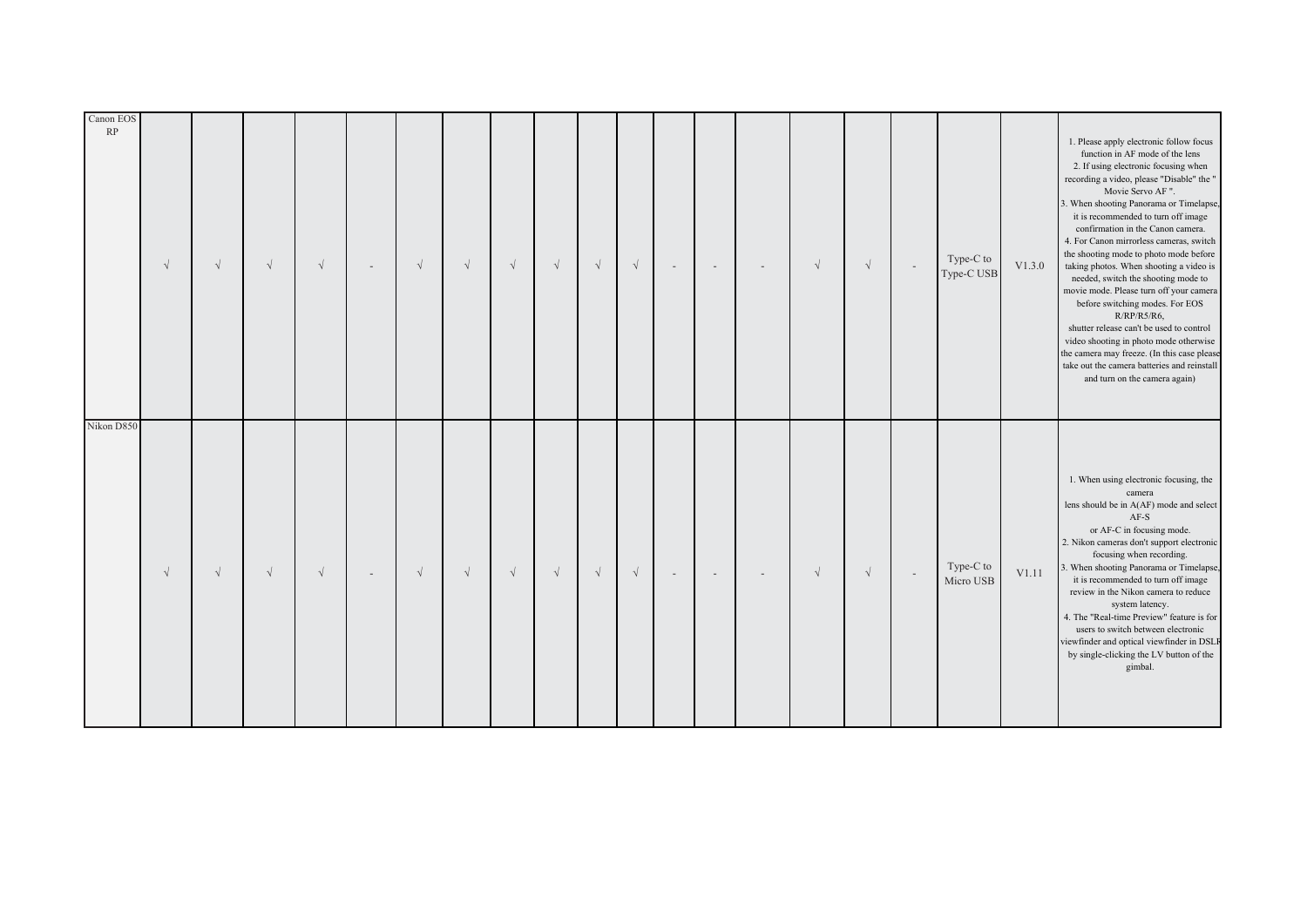| Canon EOS<br>RP | $\sqrt{ }$ | $\sqrt{ }$ | $\sqrt{ }$ | $\sqrt{ }$ |        | $\sqrt{ }$ | $\sqrt{ }$ | $\sqrt{ }$ | $\sqrt{}$  | $\sqrt{}$ | $\sqrt{}$ | $\sim$ | $\overline{\phantom{a}}$ | $\overline{\phantom{a}}$ | $\sqrt{ }$ | $\sqrt{ }$ | $\sim$ | Type-C to<br>Type-C USB | V1.3.0 | 1. Please apply electronic follow focus<br>function in AF mode of the lens<br>2. If using electronic focusing when<br>recording a video, please "Disable" the "<br>Movie Servo AF".<br>3. When shooting Panorama or Timelapse,<br>it is recommended to turn off image<br>confirmation in the Canon camera.<br>4. For Canon mirrorless cameras, switch<br>the shooting mode to photo mode before<br>taking photos. When shooting a video is<br>needed, switch the shooting mode to<br>movie mode. Please turn off your camera<br>before switching modes. For EOS<br>$R/RP/R5/R6$ ,<br>shutter release can't be used to control<br>video shooting in photo mode otherwise<br>the camera may freeze. (In this case please<br>take out the camera batteries and reinstall<br>and turn on the camera again) |
|-----------------|------------|------------|------------|------------|--------|------------|------------|------------|------------|-----------|-----------|--------|--------------------------|--------------------------|------------|------------|--------|-------------------------|--------|--------------------------------------------------------------------------------------------------------------------------------------------------------------------------------------------------------------------------------------------------------------------------------------------------------------------------------------------------------------------------------------------------------------------------------------------------------------------------------------------------------------------------------------------------------------------------------------------------------------------------------------------------------------------------------------------------------------------------------------------------------------------------------------------------------|
| Nikon D850      | $\sqrt{ }$ | $\sqrt{}$  | $\sqrt{ }$ | $\sqrt{ }$ | $\sim$ | $\sqrt{ }$ | $\sqrt{ }$ | $\sqrt{}$  | $\sqrt{ }$ | $\sqrt{}$ | $\sqrt{}$ | $\sim$ | $\sim$                   | $\sim$                   | $\sqrt{ }$ | $\sqrt{ }$ | $\sim$ | Type-C to<br>Micro USB  | V1.11  | 1. When using electronic focusing, the<br>camera<br>lens should be in A(AF) mode and select<br>$AF-S$<br>or AF-C in focusing mode.<br>2. Nikon cameras don't support electronic<br>focusing when recording.<br>3. When shooting Panorama or Timelapse,<br>it is recommended to turn off image<br>review in the Nikon camera to reduce<br>system latency.<br>4. The "Real-time Preview" feature is for<br>users to switch between electronic<br>viewfinder and optical viewfinder in DSLF<br>by single-clicking the LV button of the<br>gimbal.                                                                                                                                                                                                                                                         |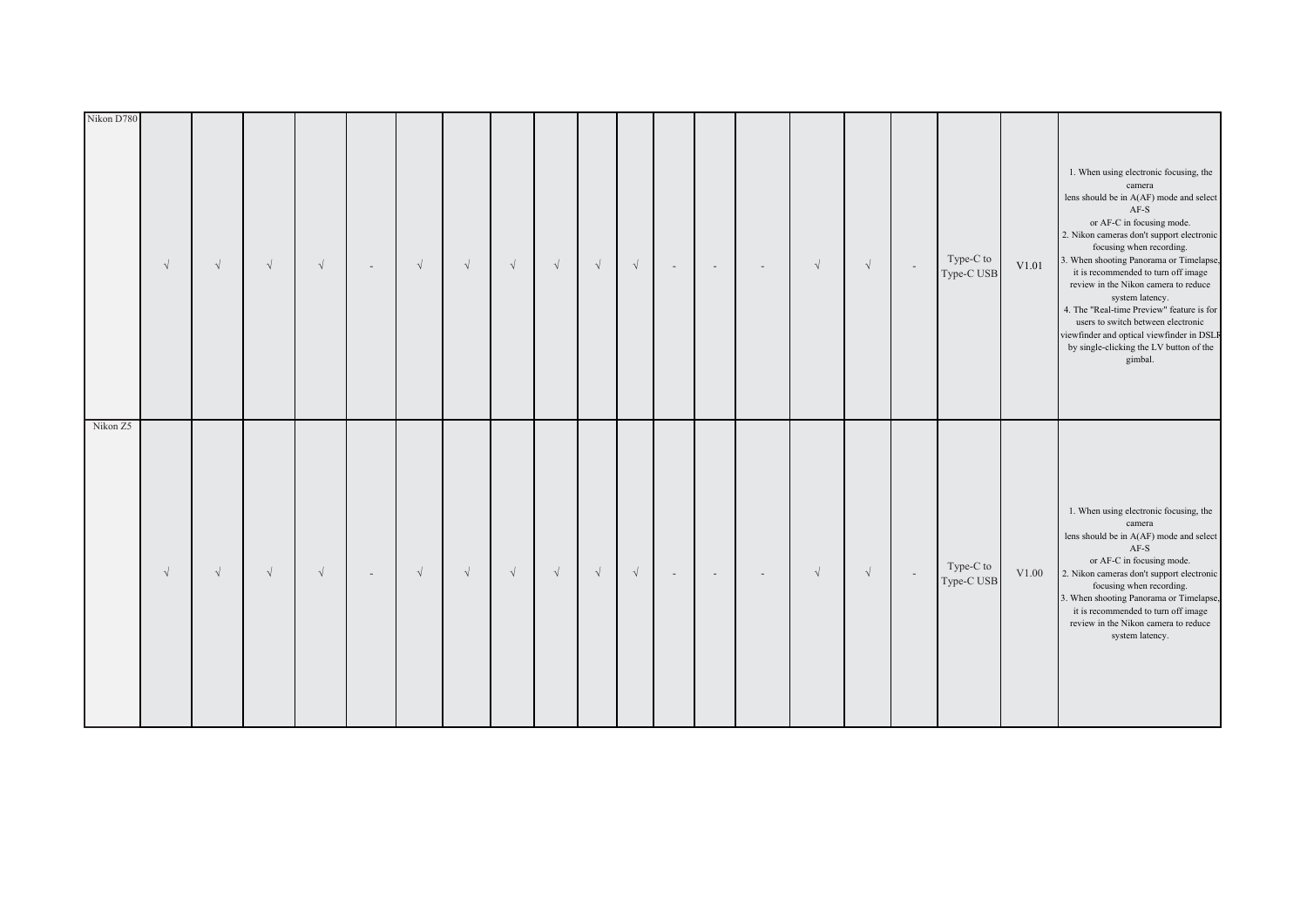| Nikon D780 | $\sqrt{ }$ | $\sqrt{}$ | $\sqrt{}$  | $\sqrt{ }$ | $\sim$ | $\sqrt{ }$ | $\sqrt{ }$ | $\sqrt{}$ | $\sqrt{}$ | $\sqrt{\phantom{a}}$ | $\sqrt{\phantom{a}}$ | $\sim$ | $\overline{\phantom{a}}$ | $\sim$ | $\sqrt{ }$ | $\sqrt{}$  | $\sim$ | Type-C to<br>Type-C USB | $\rm V1.01$ | 1. When using electronic focusing, the<br>camera<br>lens should be in A(AF) mode and select<br>$\rm AF\text{-}S$<br>or AF-C in focusing mode.<br>2. Nikon cameras don't support electronic<br>focusing when recording.<br>3. When shooting Panorama or Timelapse,<br>it is recommended to turn off image<br>review in the Nikon camera to reduce<br>system latency.<br>4. The "Real-time Preview" feature is for<br>users to switch between electronic<br>viewfinder and optical viewfinder in DSLF<br>by single-clicking the LV button of the<br>gimbal. |
|------------|------------|-----------|------------|------------|--------|------------|------------|-----------|-----------|----------------------|----------------------|--------|--------------------------|--------|------------|------------|--------|-------------------------|-------------|-----------------------------------------------------------------------------------------------------------------------------------------------------------------------------------------------------------------------------------------------------------------------------------------------------------------------------------------------------------------------------------------------------------------------------------------------------------------------------------------------------------------------------------------------------------|
| Nikon Z5   | $\sqrt{ }$ | $\sqrt{}$ | $\sqrt{ }$ | $\sqrt{ }$ | $\sim$ | $\sqrt{}$  | $\sqrt{ }$ | $\sqrt{}$ | $\sqrt{}$ | $\sqrt{}$            | $\sqrt{ }$           | $\sim$ | $\sim$                   | $\sim$ | $\sqrt{ }$ | $\sqrt{ }$ | $\sim$ | Type-C to<br>Type-C USB | V1.00       | 1. When using electronic focusing, the<br>camera<br>lens should be in A(AF) mode and select<br>$AF-S$<br>or AF-C in focusing mode.<br>2. Nikon cameras don't support electronic<br>focusing when recording.<br>3. When shooting Panorama or Timelapse,<br>it is recommended to turn off image<br>review in the Nikon camera to reduce<br>system latency.                                                                                                                                                                                                  |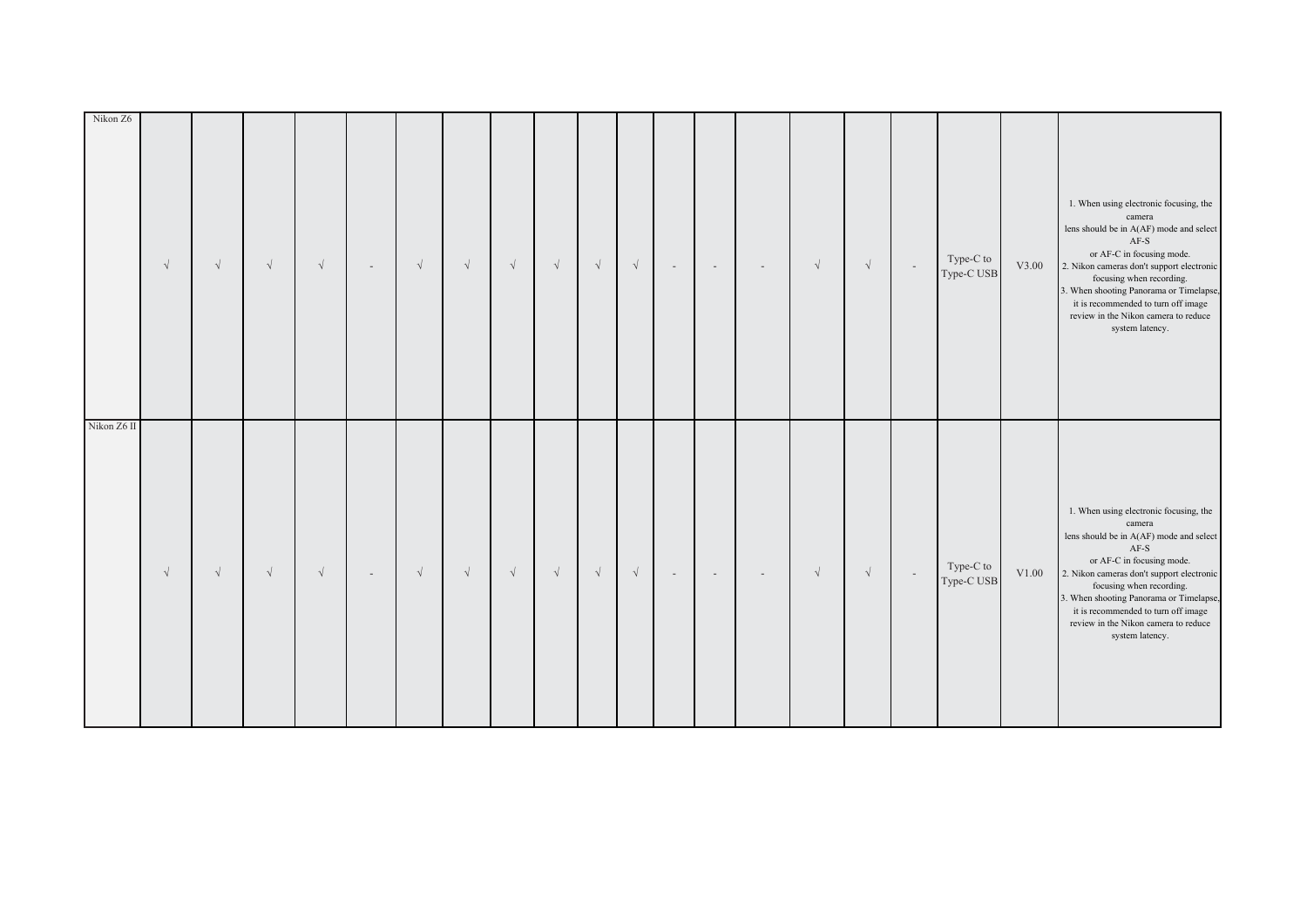| Nikon Z6    | $\sqrt{}$ | $\sqrt{}$ | $\sqrt{ }$ | $\sqrt{}$  | $\sim$ | $\sqrt{ }$ | $\sqrt{ }$ | $\sqrt{}$  | $\sqrt{}$ | $\sqrt{\phantom{a}}$ | $\sqrt{\phantom{a}}$ | $\sim$ | $\overline{\phantom{a}}$ | $\sim$ | $\sqrt{ }$ | $\sqrt{\phantom{a}}$ | $\sim$ | Type-C to<br>Type-C USB | V3.00 | 1. When using electronic focusing, the<br>camera<br>lens should be in A(AF) mode and select<br>$AF-S$<br>or AF-C in focusing mode.<br>2. Nikon cameras don't support electronic<br>focusing when recording.<br>3. When shooting Panorama or Timelapse,<br>it is recommended to turn off image<br>review in the Nikon camera to reduce<br>system latency. |
|-------------|-----------|-----------|------------|------------|--------|------------|------------|------------|-----------|----------------------|----------------------|--------|--------------------------|--------|------------|----------------------|--------|-------------------------|-------|----------------------------------------------------------------------------------------------------------------------------------------------------------------------------------------------------------------------------------------------------------------------------------------------------------------------------------------------------------|
| Nikon Z6 II | $\sqrt{}$ | $\sqrt{}$ | $\sqrt{ }$ | $\sqrt{ }$ | $\sim$ | $\sqrt{}$  | $\sqrt{ }$ | $\sqrt{ }$ | $\sqrt{}$ | $\sqrt{}$            | $\sqrt{ }$           | $\sim$ | $\sim$                   | $\sim$ | $\sqrt{ }$ | $\sqrt{}$            | $\sim$ | Type-C to<br>Type-C USB | V1.00 | 1. When using electronic focusing, the<br>camera<br>lens should be in A(AF) mode and select<br>$AF-S$<br>or AF-C in focusing mode.<br>2. Nikon cameras don't support electronic<br>focusing when recording.<br>3. When shooting Panorama or Timelapse,<br>it is recommended to turn off image<br>review in the Nikon camera to reduce<br>system latency. |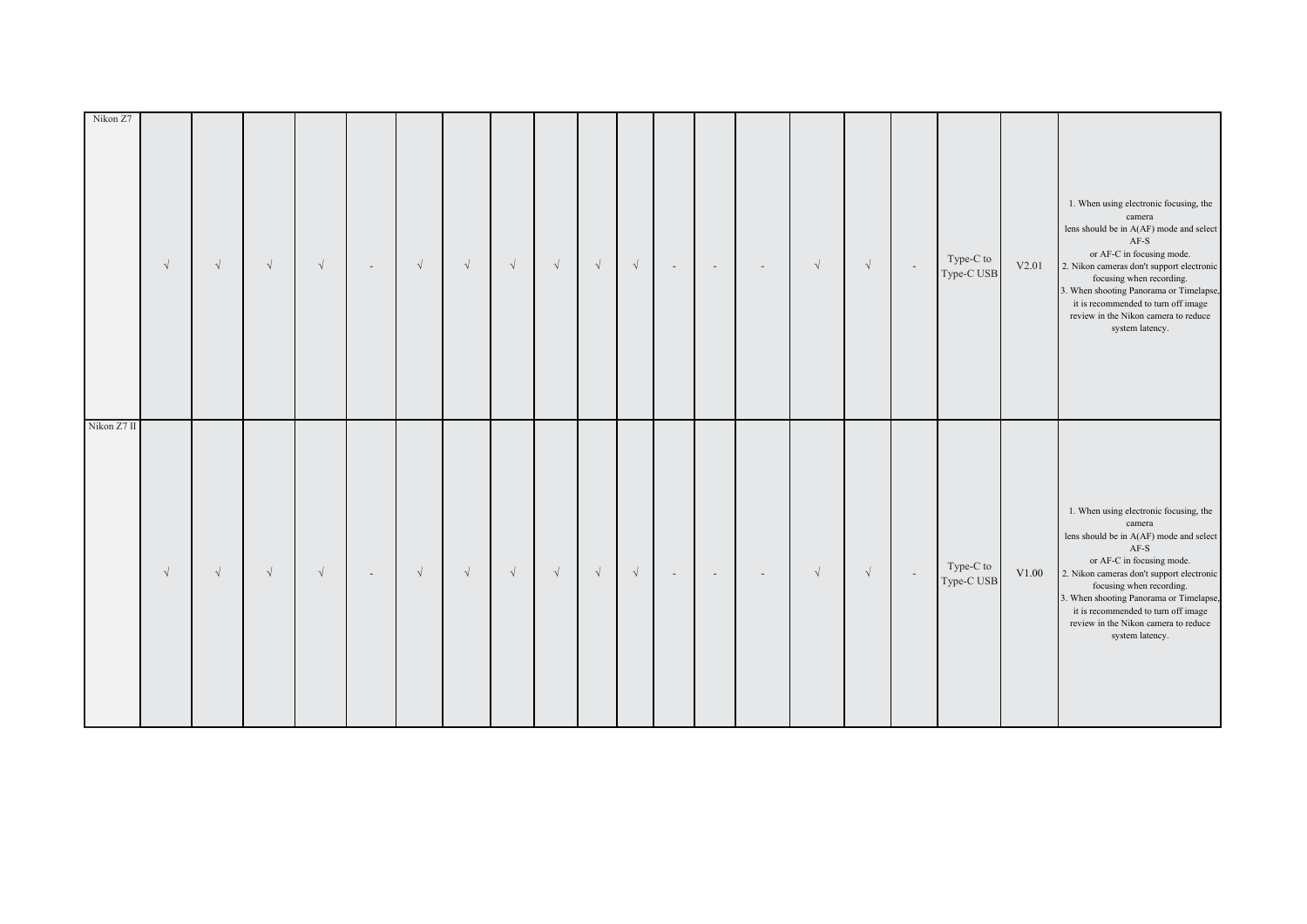| Nikon Z7    | $\sqrt{}$ | $\sqrt{}$ | $\sqrt{ }$ | $\sqrt{}$  | $\sim$ | $\sqrt{ }$ | $\sqrt{ }$ | $\sqrt{}$  | $\sqrt{}$ | $\sqrt{\phantom{a}}$ | $\sqrt{\phantom{a}}$ | $\sim$ | $\overline{\phantom{a}}$ | $\sim$ | $\sqrt{ }$ | $\sqrt{\phantom{a}}$ | $\sim$ | Type-C to<br>Type-C USB | V2.01 | 1. When using electronic focusing, the<br>camera<br>lens should be in A(AF) mode and select<br>$AF-S$<br>or AF-C in focusing mode.<br>2. Nikon cameras don't support electronic<br>focusing when recording.<br>3. When shooting Panorama or Timelapse,<br>it is recommended to turn off image<br>review in the Nikon camera to reduce<br>system latency. |
|-------------|-----------|-----------|------------|------------|--------|------------|------------|------------|-----------|----------------------|----------------------|--------|--------------------------|--------|------------|----------------------|--------|-------------------------|-------|----------------------------------------------------------------------------------------------------------------------------------------------------------------------------------------------------------------------------------------------------------------------------------------------------------------------------------------------------------|
| Nikon Z7 II | $\sqrt{}$ | $\sqrt{}$ | $\sqrt{ }$ | $\sqrt{ }$ | $\sim$ | $\sqrt{}$  | $\sqrt{ }$ | $\sqrt{ }$ | $\sqrt{}$ | $\sqrt{}$            | $\sqrt{ }$           | $\sim$ | $\sim$                   | $\sim$ | $\sqrt{ }$ | $\sqrt{}$            | $\sim$ | Type-C to<br>Type-C USB | V1.00 | 1. When using electronic focusing, the<br>camera<br>lens should be in A(AF) mode and select<br>$AF-S$<br>or AF-C in focusing mode.<br>2. Nikon cameras don't support electronic<br>focusing when recording.<br>3. When shooting Panorama or Timelapse,<br>it is recommended to turn off image<br>review in the Nikon camera to reduce<br>system latency. |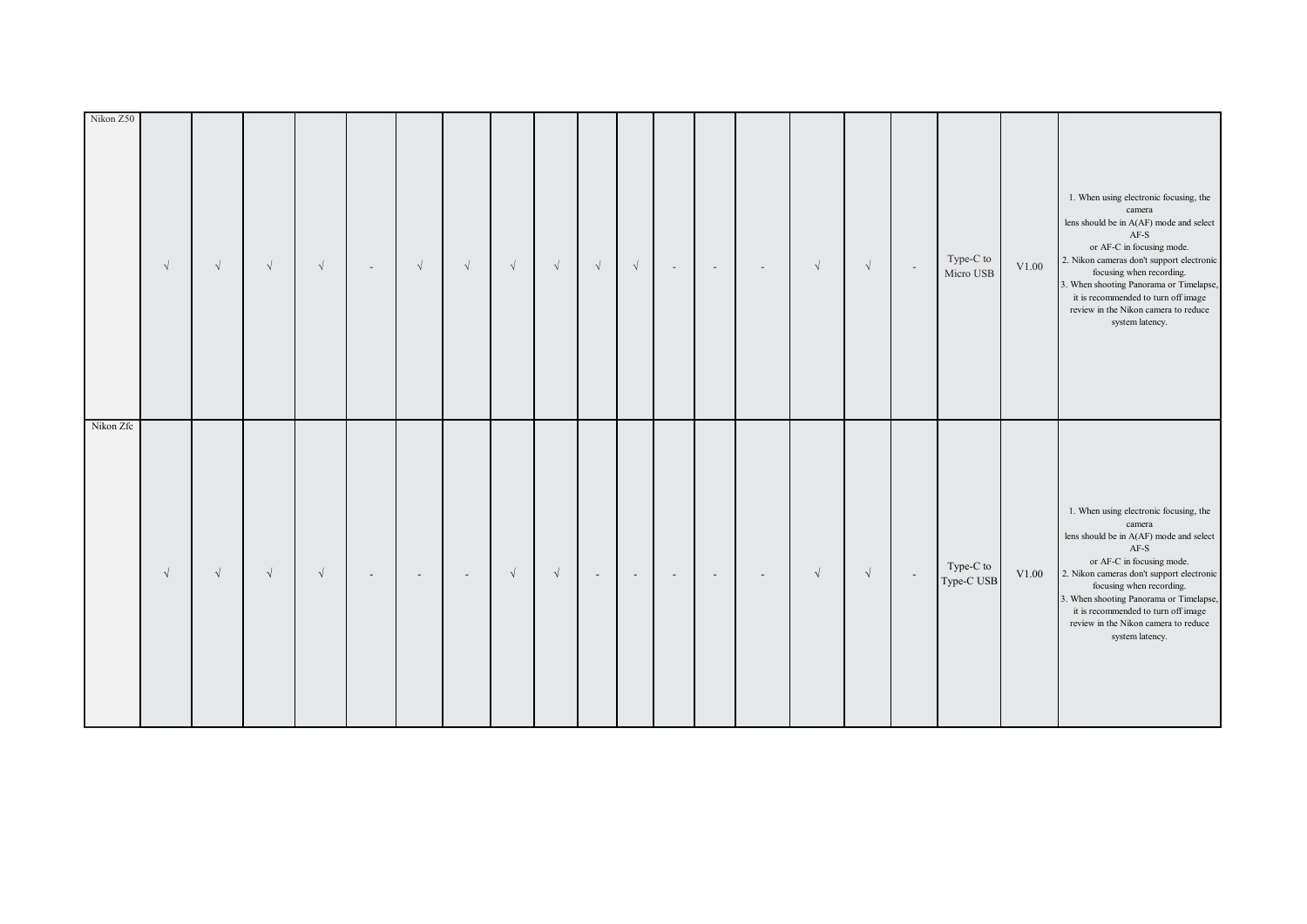| Nikon Z50 | $\sqrt{}$  | $\sqrt{}$  | $\sqrt{\phantom{a}}$ | $\sqrt{}$  | $\sim$ | $\sqrt{ }$               | $\sqrt{ }$     | $\sqrt{}$  | $\sqrt{}$  | $\sqrt{\phantom{a}}$     | $\sqrt{\phantom{a}}$     | $\overline{\phantom{a}}$ | $\sim$                   | $\overline{\phantom{a}}$ | $\sqrt{ }$ | $\sqrt{}$  | $\sim$ | Type-C to<br>Micro USB  | V1.00 | 1. When using electronic focusing, the<br>camera<br>lens should be in A(AF) mode and select<br>$AF-S$<br>or AF-C in focusing mode.<br>2. Nikon cameras don't support electronic<br>focusing when recording.<br>3. When shooting Panorama or Timelapse,<br>it is recommended to turn off image<br>review in the Nikon camera to reduce<br>system latency. |
|-----------|------------|------------|----------------------|------------|--------|--------------------------|----------------|------------|------------|--------------------------|--------------------------|--------------------------|--------------------------|--------------------------|------------|------------|--------|-------------------------|-------|----------------------------------------------------------------------------------------------------------------------------------------------------------------------------------------------------------------------------------------------------------------------------------------------------------------------------------------------------------|
| Nikon Zfc | $\sqrt{ }$ | $\sqrt{ }$ | $\sqrt{ }$           | $\sqrt{ }$ |        | $\overline{\phantom{a}}$ | $\overline{a}$ | $\sqrt{ }$ | $\sqrt{ }$ | $\overline{\phantom{a}}$ | $\overline{\phantom{a}}$ |                          | $\overline{\phantom{a}}$ | $\overline{\phantom{a}}$ | $\sqrt{ }$ | $\sqrt{ }$ | $\sim$ | Type-C to<br>Type-C USB | V1.00 | 1. When using electronic focusing, the<br>camera<br>lens should be in A(AF) mode and select<br>$AF-S$<br>or AF-C in focusing mode.<br>2. Nikon cameras don't support electronic<br>focusing when recording.<br>3. When shooting Panorama or Timelapse,<br>it is recommended to turn off image<br>review in the Nikon camera to reduce<br>system latency. |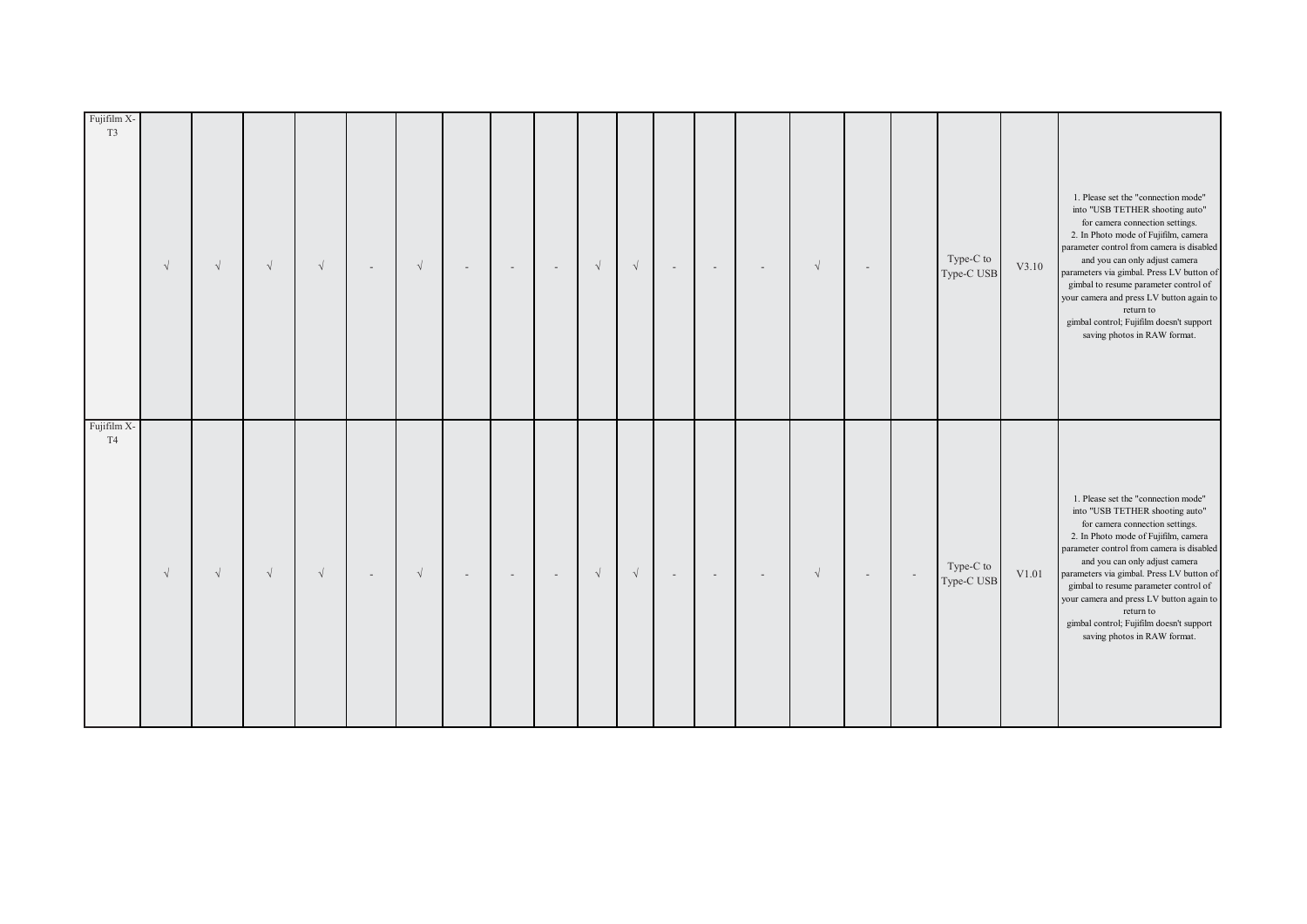| Fujifilm X-<br>T <sub>3</sub> | $\sqrt{ }$ | $\sqrt{}$  | $\sqrt{}$  | $\sqrt{ }$ | $\overline{a}$ | $\sqrt{ }$ | $\overline{\phantom{a}}$ | $\sim$ | $\sim$                   | $\sqrt{ }$ | $\sqrt{}$ | $\overline{\phantom{a}}$ | $\overline{\phantom{a}}$ | $\overline{\phantom{a}}$ | $\sqrt{ }$ | $\overline{\phantom{a}}$ |        | Type-C to<br>Type-C USB | V3.10 | 1. Please set the "connection mode"<br>into "USB TETHER shooting auto"<br>for camera connection settings.<br>2. In Photo mode of Fujifilm, camera<br>parameter control from camera is disabled<br>and you can only adjust camera<br>parameters via gimbal. Press LV button of<br>gimbal to resume parameter control of<br>your camera and press LV button again to<br>return to<br>gimbal control; Fujifilm doesn't support<br>saving photos in RAW format. |
|-------------------------------|------------|------------|------------|------------|----------------|------------|--------------------------|--------|--------------------------|------------|-----------|--------------------------|--------------------------|--------------------------|------------|--------------------------|--------|-------------------------|-------|-------------------------------------------------------------------------------------------------------------------------------------------------------------------------------------------------------------------------------------------------------------------------------------------------------------------------------------------------------------------------------------------------------------------------------------------------------------|
| Fujifilm X-<br>T <sub>4</sub> | $\sqrt{ }$ | $\sqrt{ }$ | $\sqrt{ }$ | $\sqrt{ }$ | $\sim$         | $\sqrt{ }$ | $\overline{\phantom{a}}$ | $\sim$ | $\overline{\phantom{a}}$ | $\sqrt{ }$ | $\sqrt{}$ | $\sim$                   | $\sim$                   | $\overline{\phantom{a}}$ | $\sqrt{ }$ | $\sim$                   | $\sim$ | Type-C to<br>Type-C USB | V1.01 | 1. Please set the "connection mode"<br>into "USB TETHER shooting auto"<br>for camera connection settings.<br>2. In Photo mode of Fujifilm, camera<br>parameter control from camera is disabled<br>and you can only adjust camera<br>parameters via gimbal. Press LV button of<br>gimbal to resume parameter control of<br>your camera and press LV button again to<br>return to<br>gimbal control; Fujifilm doesn't support<br>saving photos in RAW format. |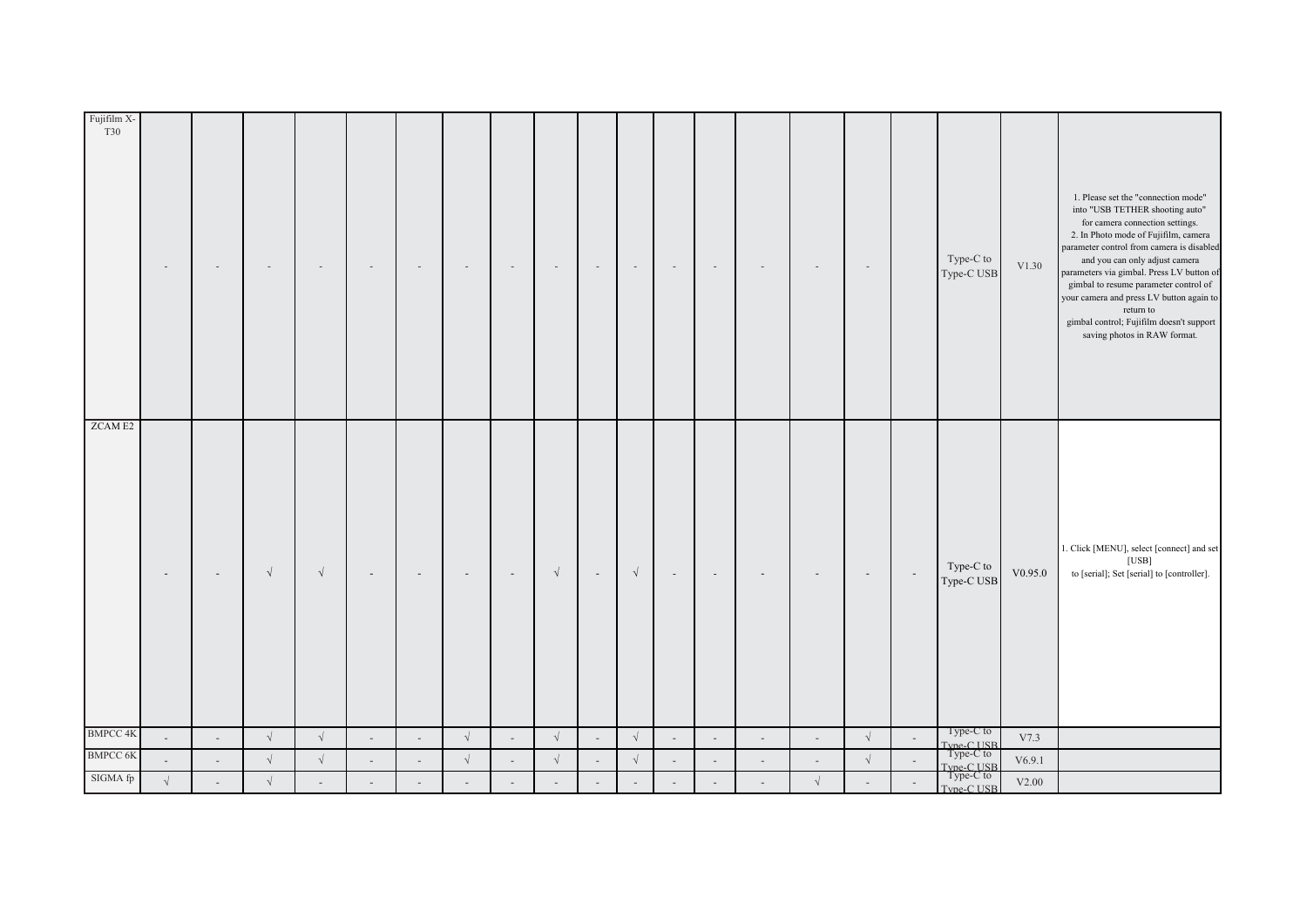| Fujifilm X-<br>T30 | $\overline{\phantom{a}}$ |        |            |            |           |          |            |                          |            |                          |                          |        |                          |        |                          | $\overline{\phantom{a}}$ |        | Type-C to<br>Type-C USB              | V1.30   | 1. Please set the "connection mode"<br>into "USB TETHER shooting auto"<br>for camera connection settings.<br>2. In Photo mode of Fujifilm, camera<br>parameter control from camera is disabled<br>and you can only adjust camera<br>parameters via gimbal. Press LV button of<br>gimbal to resume parameter control of<br>your camera and press LV button again to<br>return to<br>gimbal control; Fujifilm doesn't support<br>saving photos in RAW format. |
|--------------------|--------------------------|--------|------------|------------|-----------|----------|------------|--------------------------|------------|--------------------------|--------------------------|--------|--------------------------|--------|--------------------------|--------------------------|--------|--------------------------------------|---------|-------------------------------------------------------------------------------------------------------------------------------------------------------------------------------------------------------------------------------------------------------------------------------------------------------------------------------------------------------------------------------------------------------------------------------------------------------------|
| <b>ZCAME2</b>      |                          |        | $\sqrt{ }$ | $\sqrt{ }$ |           |          |            | $\overline{\phantom{a}}$ | $\sqrt{ }$ | $\overline{\phantom{a}}$ | $\sqrt{ }$               |        |                          |        |                          |                          |        | Type-C to<br>Type-C USB              | V0.95.0 | 1. Click [MENU], select [connect] and set<br>[USB]<br>to [serial]; Set [serial] to [controller].                                                                                                                                                                                                                                                                                                                                                            |
| <b>BMPCC 4K</b>    | $\overline{a}$           | $\sim$ | $\sqrt{}$  | $\sqrt{}$  | $\bar{a}$ | $\omega$ | $\sqrt{ }$ | $\mathcal{L}^{\pm}$      | $\sqrt{}$  | $\overline{\phantom{a}}$ | $\sqrt{ }$               | $\sim$ | $\overline{\phantom{a}}$ | $\sim$ | $\sim$                   | $\sqrt{ }$               | $\sim$ | Type-C to<br>Type-C USB<br>Type-C to | V7.3    |                                                                                                                                                                                                                                                                                                                                                                                                                                                             |
| <b>BMPCC 6K</b>    |                          |        | $\sqrt{}$  | $\sqrt{ }$ |           |          | $\sqrt{ }$ | $\overline{\phantom{a}}$ | $\sqrt{}$  |                          | $\sqrt{\phantom{a}}$     |        |                          |        | $\overline{\phantom{a}}$ | $\sqrt{ }$               |        | Type-C USB<br>Type-C to              | V6.9.1  |                                                                                                                                                                                                                                                                                                                                                                                                                                                             |
| SIGMA fp           | $\sqrt{}$                |        | $\sqrt{}$  |            |           |          |            |                          |            |                          | $\overline{\phantom{a}}$ |        |                          |        | $\sqrt{}$                |                          |        | Type-C USB                           | V2.00   |                                                                                                                                                                                                                                                                                                                                                                                                                                                             |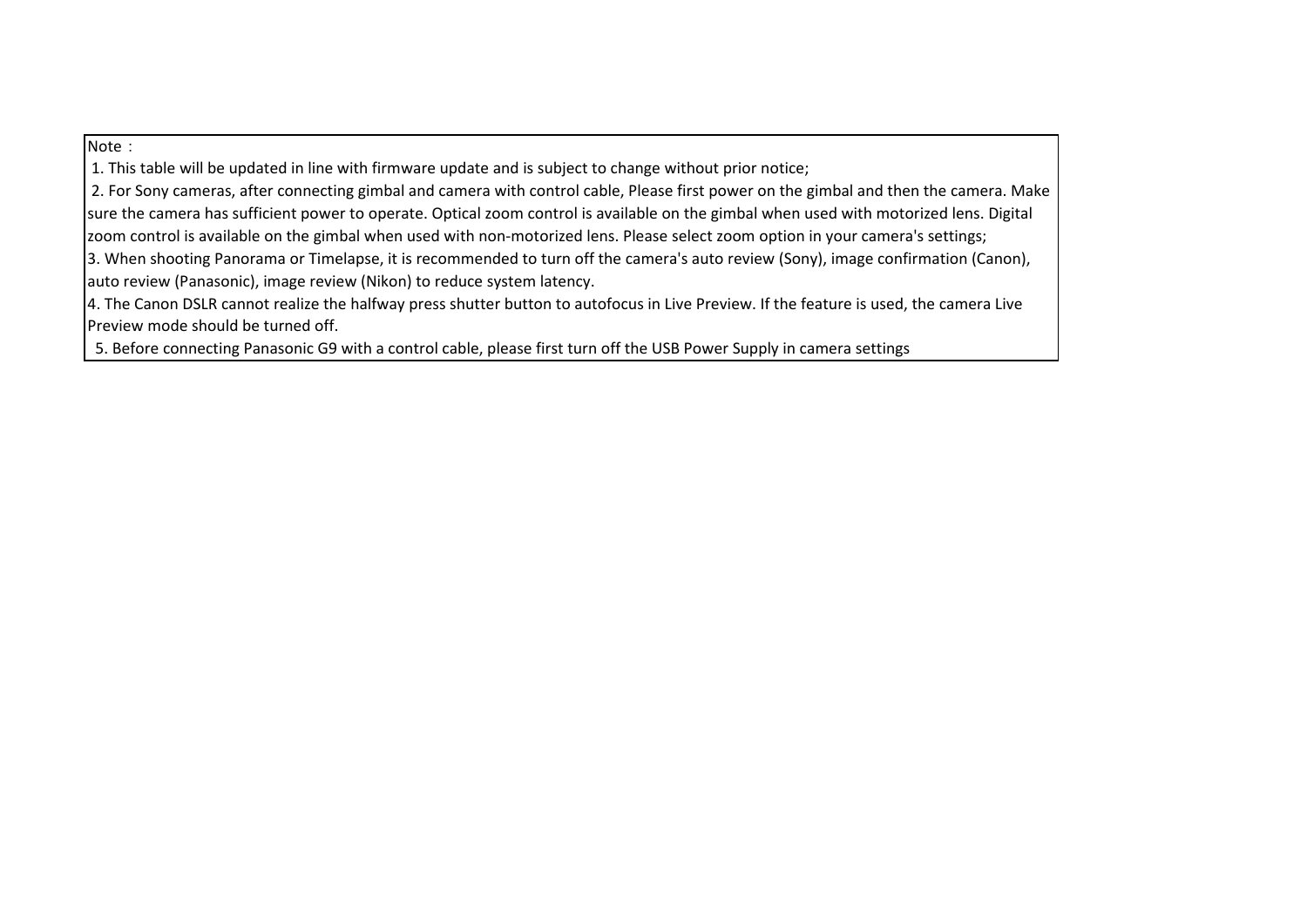## Note:

1. This table will be updated in line with firmware update and is subject to change without prior notice;

2. For Sony cameras, after connecting gimbal and camera with control cable, Please first power on the gimbal and then the camera. Make sure the camera has sufficient power to operate. Optical zoom control is available on the gimbal when used with motorized lens. Digital zoom control is available on the gimbal when used with non‐motorized lens. Please select zoom option in your camera's settings;

3. When shooting Panorama or Timelapse, it is recommended to turn off the camera's auto review (Sony), image confirmation (Canon), auto review (Panasonic), image review (Nikon) to reduce system latency.

4. The Canon DSLR cannot realize the halfway press shutter button to autofocus in Live Preview. If the feature is used, the camera Live Preview mode should be turned off.

5. Before connecting Panasonic G9 with <sup>a</sup> control cable, please first turn off the USB Power Supply in camera settings